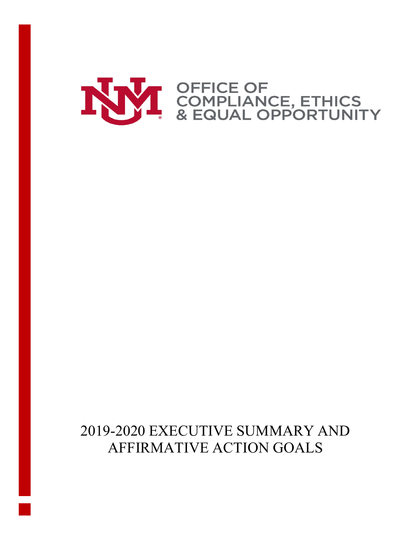

# 2019-2020 EXECUTIVE SUMMARY AND AFFIRMATIVE ACTION GOALS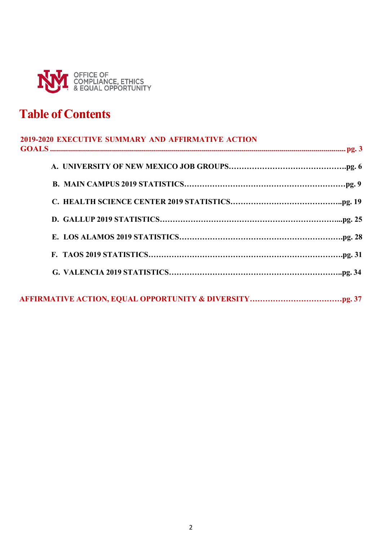

# **Table of Contents**

| 2019-2020 EXECUTIVE SUMMARY AND AFFIRMATIVE ACTION |
|----------------------------------------------------|
|                                                    |
|                                                    |
|                                                    |
|                                                    |
|                                                    |
|                                                    |
|                                                    |
|                                                    |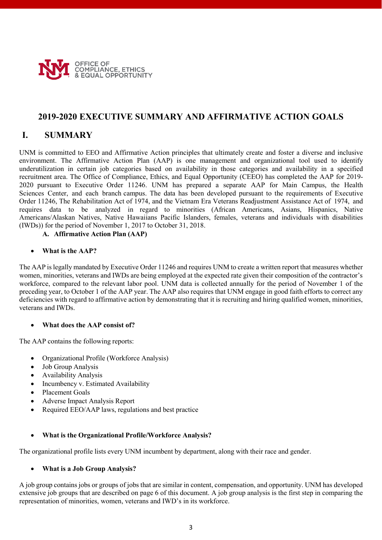

### **2019-2020 EXECUTIVE SUMMARY AND AFFIRMATIVE ACTION GOALS**

# **I. SUMMARY**

UNM is committed to EEO and Affirmative Action principles that ultimately create and foster a diverse and inclusive environment. The Affirmative Action Plan (AAP) is one management and organizational tool used to identify underutilization in certain job categories based on availability in those categories and availability in a specified recruitment area. The Office of Compliance, Ethics, and Equal Opportunity (CEEO) has completed the AAP for 2019- 2020 pursuant to Executive Order 11246. UNM has prepared a separate AAP for Main Campus, the Health Sciences Center, and each branch campus. The data has been developed pursuant to the requirements of Executive Order 11246, The Rehabilitation Act of 1974, and the Vietnam Era Veterans Readjustment Assistance Act of 1974, and requires data to be analyzed in regard to minorities (African Americans, Asians, Hispanics, Native Americans/Alaskan Natives, Native Hawaiians Pacific Islanders, females, veterans and individuals with disabilities (IWDs)) for the period of November 1, 2017 to October 31, 2018.

### **A. Affirmative Action Plan (AAP)**

#### • **What is the AAP?**

The AAP islegally mandated by Executive Order 11246 and requires UNM to create a written report that measures whether women, minorities, veterans and IWDs are being employed at the expected rate given their composition of the contractor's workforce, compared to the relevant labor pool. UNM data is collected annually for the period of November 1 of the preceding year, to October 1 of the AAP year. The AAP also requires that UNM engage in good faith efforts to correct any deficiencies with regard to affirmative action by demonstrating that it is recruiting and hiring qualified women, minorities, veterans and IWDs.

### • **What does the AAP consist of?**

The AAP contains the following reports:

- Organizational Profile (Workforce Analysis)
- Job Group Analysis
- Availability Analysis
- Incumbency v. Estimated Availability
- Placement Goals
- Adverse Impact Analysis Report
- Required EEO/AAP laws, regulations and best practice

### • **What is the Organizational Profile/Workforce Analysis?**

The organizational profile lists every UNM incumbent by department, along with their race and gender.

### • **What is a Job Group Analysis?**

A job group contains jobs or groups of jobs that are similar in content, compensation, and opportunity. UNM has developed extensive job groups that are described on page 6 of this document. A job group analysis is the first step in comparing the representation of minorities, women, veterans and IWD's in its workforce.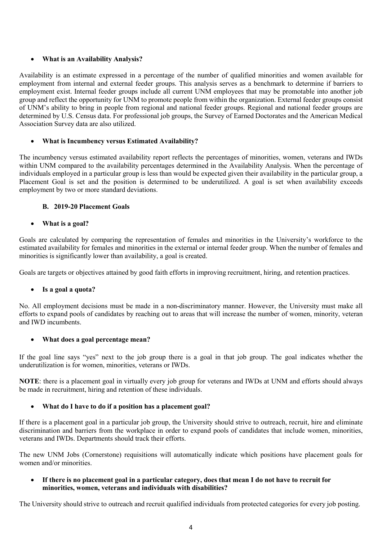### • **What is an Availability Analysis?**

Availability is an estimate expressed in a percentage of the number of qualified minorities and women available for employment from internal and external feeder groups. This analysis serves as a benchmark to determine if barriers to employment exist. Internal feeder groups include all current UNM employees that may be promotable into another job group and reflect the opportunity for UNM to promote people from within the organization. External feeder groups consist of UNM's ability to bring in people from regional and national feeder groups. Regional and national feeder groups are determined by U.S. Census data. For professional job groups, the Survey of Earned Doctorates and the American Medical Association Survey data are also utilized.

### • **What is Incumbency versus Estimated Availability?**

The incumbency versus estimated availability report reflects the percentages of minorities, women, veterans and IWDs within UNM compared to the availability percentages determined in the Availability Analysis. When the percentage of individuals employed in a particular group is less than would be expected given their availability in the particular group, a Placement Goal is set and the position is determined to be underutilized. A goal is set when availability exceeds employment by two or more standard deviations.

### **B. 2019-20 Placement Goals**

### • **What is a goal?**

Goals are calculated by comparing the representation of females and minorities in the University's workforce to the estimated availability for females and minorities in the external or internal feeder group. When the number of females and minorities is significantly lower than availability, a goal is created.

Goals are targets or objectives attained by good faith efforts in improving recruitment, hiring, and retention practices.

### • **Is a goal a quota?**

No. All employment decisions must be made in a non-discriminatory manner. However, the University must make all efforts to expand pools of candidates by reaching out to areas that will increase the number of women, minority, veteran and IWD incumbents.

### • **What does a goal percentage mean?**

If the goal line says "yes" next to the job group there is a goal in that job group. The goal indicates whether the underutilization is for women, minorities, veterans or IWDs.

**NOTE**: there is a placement goal in virtually every job group for veterans and IWDs at UNM and efforts should always be made in recruitment, hiring and retention of these individuals.

### • **What do I have to do if a position has a placement goal?**

If there is a placement goal in a particular job group, the University should strive to outreach, recruit, hire and eliminate discrimination and barriers from the workplace in order to expand pools of candidates that include women, minorities, veterans and IWDs. Departments should track their efforts.

The new UNM Jobs (Cornerstone) requisitions will automatically indicate which positions have placement goals for women and/or minorities.

### • **If there is no placement goal in a particular category, does that mean I do not have to recruit for minorities, women, veterans and individuals with disabilities?**

The University should strive to outreach and recruit qualified individuals from protected categories for every job posting.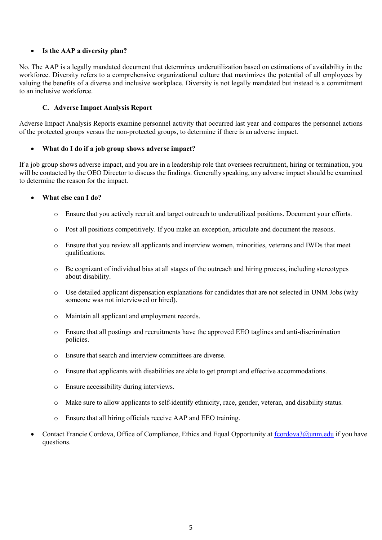### • **Is the AAP a diversity plan?**

No. The AAP is a legally mandated document that determines underutilization based on estimations of availability in the workforce. Diversity refers to a comprehensive organizational culture that maximizes the potential of all employees by valuing the benefits of a diverse and inclusive workplace. Diversity is not legally mandated but instead is a commitment to an inclusive workforce.

#### **C. Adverse Impact Analysis Report**

Adverse Impact Analysis Reports examine personnel activity that occurred last year and compares the personnel actions of the protected groups versus the non-protected groups, to determine if there is an adverse impact.

#### • **What do I do if a job group shows adverse impact?**

If a job group shows adverse impact, and you are in a leadership role that oversees recruitment, hiring or termination, you will be contacted by the OEO Director to discuss the findings. Generally speaking, any adverse impact should be examined to determine the reason for the impact.

#### • **What else can I do?**

- Ensure that you actively recruit and target outreach to underutilized positions. Document your efforts.
- o Post all positions competitively. If you make an exception, articulate and document the reasons.
- o Ensure that you review all applicants and interview women, minorities, veterans and IWDs that meet qualifications.
- o Be cognizant of individual bias at all stages of the outreach and hiring process, including stereotypes about disability.
- o Use detailed applicant dispensation explanations for candidates that are not selected in UNM Jobs (why someone was not interviewed or hired).
- o Maintain all applicant and employment records.
- o Ensure that all postings and recruitments have the approved EEO taglines and anti-discrimination policies.
- o Ensure that search and interview committees are diverse.
- o Ensure that applicants with disabilities are able to get prompt and effective accommodations.
- o Ensure accessibility during interviews.
- o Make sure to allow applicants to self-identify ethnicity, race, gender, veteran, and disability status.
- o Ensure that all hiring officials receive AAP and EEO training.
- Contact Francie Cordova, Office of Compliance, Ethics and Equal Opportunity at [fcordova3@unm.edu](mailto:fcordova3@unm.edu) if you have questions.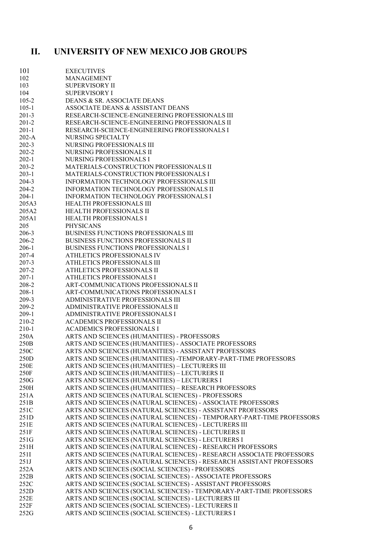# **II. UNIVERSITY OF NEW MEXICO JOB GROUPS**

| 101       | <b>EXECUTIVES</b>                                                     |
|-----------|-----------------------------------------------------------------------|
| 102       | <b>MANAGEMENT</b>                                                     |
| 103       | <b>SUPERVISORY II</b>                                                 |
| 104       | <b>SUPERVISORY I</b>                                                  |
| $105 - 2$ | DEANS & SR. ASSOCIATE DEANS                                           |
| $105 - 1$ | ASSOCIATE DEANS & ASSISTANT DEANS                                     |
|           |                                                                       |
| $201-3$   | RESEARCH-SCIENCE-ENGINEERING PROFESSIONALS III                        |
| $201 - 2$ | RESEARCH-SCIENCE-ENGINEERING PROFESSIONALS II                         |
| $201-1$   | RESEARCH-SCIENCE-ENGINEERING PROFESSIONALS I                          |
| $202-A$   | NURSING SPECIALTY                                                     |
| $202-3$   | NURSING PROFESSIONALS III                                             |
| $202 - 2$ | NURSING PROFESSIONALS II                                              |
| $202-1$   | NURSING PROFESSIONALS I                                               |
|           |                                                                       |
| $203 - 2$ | MATERIALS-CONSTRUCTION PROFESSIONALS II                               |
| $203-1$   | MATERIALS-CONSTRUCTION PROFESSIONALS I                                |
| 204-3     | INFORMATION TECHNOLOGY PROFESSIONALS III                              |
| 204-2     | INFORMATION TECHNOLOGY PROFESSIONALS II                               |
| $204-1$   | INFORMATION TECHNOLOGY PROFESSIONALS I                                |
| 205A3     | <b>HEALTH PROFESSIONALS III</b>                                       |
| 205A2     | <b>HEALTH PROFESSIONALS II</b>                                        |
| 205A1     | <b>HEALTH PROFESSIONALS I</b>                                         |
|           |                                                                       |
| 205       | <b>PHYSICANS</b>                                                      |
| 206-3     | BUSINESS FUNCTIONS PROFESSIONALS III                                  |
| 206-2     | <b>BUSINESS FUNCTIONS PROFESSIONALS II</b>                            |
| $206-1$   | <b>BUSINESS FUNCTIONS PROFESSIONALS I</b>                             |
| 207-4     | ATHLETICS PROFESSIONALS IV                                            |
| $207 - 3$ | ATHLETICS PROFESSIONALS III                                           |
| $207 - 2$ | ATHLETICS PROFESSIONALS II                                            |
| $207-1$   | ATHLETICS PROFESSIONALS I                                             |
|           |                                                                       |
| 208-2     | ART-COMMUNICATIONS PROFESSIONALS II                                   |
| $208-1$   | ART-COMMUNICATIONS PROFESSIONALS I                                    |
| 209-3     | ADMINISTRATIVE PROFESSIONALS III                                      |
| 209-2     | ADMINISTRATIVE PROFESSIONALS II                                       |
| $209-1$   | ADMINISTRATIVE PROFESSIONALS I                                        |
| 210-2     | <b>ACADEMICS PROFESSIONALS II</b>                                     |
| $210-1$   | <b>ACADEMICS PROFESSIONALS I</b>                                      |
| 250A      | ARTS AND SCIENCES (HUMANITIES) - PROFESSORS                           |
| 250B      | ARTS AND SCIENCES (HUMANITIES) - ASSOCIATE PROFESSORS                 |
|           |                                                                       |
| 250C      | ARTS AND SCIENCES (HUMANITIES) - ASSISTANT PROFESSORS                 |
| 250D      | ARTS AND SCIENCES (HUMANITIES) -TEMPORARY-PART-TIME PROFESSORS        |
| 250E      | ARTS AND SCIENCES (HUMANITIES) - LECTURERS III                        |
| 250F      | ARTS AND SCIENCES (HUMANITIES) - LECTURERS II                         |
| 250G      | ARTS AND SCIENCES (HUMANITIES) - LECTURERS I                          |
| 250H      | ARTS AND SCIENCES (HUMANITIES) - RESEARCH PROFESSORS                  |
| 251A      | ARTS AND SCIENCES (NATURAL SCIENCES) - PROFESSORS                     |
| 251B      | ARTS AND SCIENCES (NATURAL SCIENCES) - ASSOCIATE PROFESSORS           |
|           |                                                                       |
| 251C      | ARTS AND SCIENCES (NATURAL SCIENCES) - ASSISTANT PROFESSORS           |
| 251D      | ARTS AND SCIENCES (NATURAL SCIENCES) - TEMPORARY-PART-TIME PROFESSORS |
| 251E      | ARTS AND SCIENCES (NATURAL SCIENCES) - LECTURERS III                  |
| 251F      | ARTS AND SCIENCES (NATURAL SCIENCES) - LECTURERS II                   |
| 251G      | ARTS AND SCIENCES (NATURAL SCIENCES) - LECTURERS I                    |
| 251H      | ARTS AND SCIENCES (NATURAL SCIENCES) - RESEARCH PROFESSORS            |
| 251I      | ARTS AND SCIENCES (NATURAL SCIENCES) - RESEARCH ASSOCIATE PROFESSORS  |
| 251J      | ARTS AND SCIENCES (NATURAL SCIENCES) - RESEARCH ASSISTANT PROFESSORS  |
| 252A      | ARTS AND SCIENCES (SOCIAL SCIENCES) - PROFESSORS                      |
|           |                                                                       |
| 252B      | ARTS AND SCIENCES (SOCIAL SCIENCES) - ASSOCIATE PROFESSORS            |
| 252C      | ARTS AND SCIENCES (SOCIAL SCIENCES) - ASSISTANT PROFESSORS            |
| 252D      | ARTS AND SCIENCES (SOCIAL SCIENCES) - TEMPORARY-PART-TIME PROFESSORS  |
| 252E      | ARTS AND SCIENCES (SOCIAL SCIENCES) - LECTURERS III                   |
| 252F      | ARTS AND SCIENCES (SOCIAL SCIENCES) - LECTURERS II                    |
| 252G      | ARTS AND SCIENCES (SOCIAL SCIENCES) - LECTURERS I                     |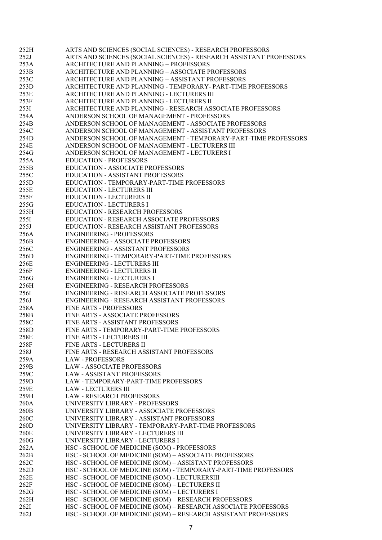| 252H         | ARTS AND SCIENCES (SOCIAL SCIENCES) - RESEARCH PROFESSORS                                                                        |
|--------------|----------------------------------------------------------------------------------------------------------------------------------|
| 252J         | ARTS AND SCIENCES (SOCIAL SCIENCES) - RESEARCH ASSISTANT PROFESSORS                                                              |
| 253A         | ARCHITECTURE AND PLANNING - PROFESSORS                                                                                           |
| 253B         | ARCHITECTURE AND PLANNING - ASSOCIATE PROFESSORS                                                                                 |
| 253C         | ARCHITECTURE AND PLANNING - ASSISTANT PROFESSORS                                                                                 |
|              |                                                                                                                                  |
| 253D         | ARCHITECTURE AND PLANNING - TEMPORARY- PART-TIME PROFESSORS                                                                      |
| 253E         | ARCHITECTURE AND PLANNING - LECTURERS III                                                                                        |
| 253F         | ARCHITECTURE AND PLANNING - LECTURERS II                                                                                         |
| 2531         | ARCHITECTURE AND PLANNING - RESEARCH ASSOCIATE PROFESSORS                                                                        |
| 254A         | ANDERSON SCHOOL OF MANAGEMENT - PROFESSORS                                                                                       |
| 254B         | ANDERSON SCHOOL OF MANAGEMENT - ASSOCIATE PROFESSORS                                                                             |
| 254C         | ANDERSON SCHOOL OF MANAGEMENT - ASSISTANT PROFESSORS                                                                             |
| 254D         | ANDERSON SCHOOL OF MANAGEMENT - TEMPORARY-PART-TIME PROFESSORS                                                                   |
|              |                                                                                                                                  |
| 254E         | ANDERSON SCHOOL OF MANAGEMENT - LECTURERS III                                                                                    |
| 254G         | ANDERSON SCHOOL OF MANAGEMENT - LECTURERS I                                                                                      |
| 255A         | <b>EDUCATION - PROFESSORS</b>                                                                                                    |
| 255B         | <b>EDUCATION - ASSOCIATE PROFESSORS</b>                                                                                          |
| 255C         | <b>EDUCATION - ASSISTANT PROFESSORS</b>                                                                                          |
| 255D         | EDUCATION - TEMPORARY-PART-TIME PROFESSORS                                                                                       |
| 255E         | <b>EDUCATION - LECTURERS III</b>                                                                                                 |
| 255F         | <b>EDUCATION - LECTURERS II</b>                                                                                                  |
| 255G         | <b>EDUCATION - LECTURERS I</b>                                                                                                   |
|              |                                                                                                                                  |
| 255H         | <b>EDUCATION - RESEARCH PROFESSORS</b>                                                                                           |
| 2551         | EDUCATION - RESEARCH ASSOCIATE PROFESSORS                                                                                        |
| 255J         | <b>EDUCATION - RESEARCH ASSISTANT PROFESSORS</b>                                                                                 |
| 256A         | <b>ENGINEERING - PROFESSORS</b>                                                                                                  |
| 256B         | <b>ENGINEERING - ASSOCIATE PROFESSORS</b>                                                                                        |
| 256C         | ENGINEERING - ASSISTANT PROFESSORS                                                                                               |
| 256D         | ENGINEERING - TEMPORARY-PART-TIME PROFESSORS                                                                                     |
| 256E         | <b>ENGINEERING - LECTURERS III</b>                                                                                               |
| 256F         | <b>ENGINEERING - LECTURERS II</b>                                                                                                |
| 256G         | <b>ENGINEERING - LECTURERS I</b>                                                                                                 |
|              |                                                                                                                                  |
| 256H         | <b>ENGINEERING - RESEARCH PROFESSORS</b>                                                                                         |
| 2561         | ENGINEERING - RESEARCH ASSOCIATE PROFESSORS                                                                                      |
| 256J         | ENGINEERING - RESEARCH ASSISTANT PROFESSORS                                                                                      |
| 258A         | FINE ARTS - PROFESSORS                                                                                                           |
| 258B         | FINE ARTS - ASSOCIATE PROFESSORS                                                                                                 |
| 258C         | FINE ARTS - ASSISTANT PROFESSORS                                                                                                 |
| 258D         | FINE ARTS - TEMPORARY-PART-TIME PROFESSORS                                                                                       |
| 258E         | FINE ARTS - LECTURERS III                                                                                                        |
| 258F         | FINE ARTS - LECTURERS II                                                                                                         |
| 258J         | FINE ARTS - RESEARCH ASSISTANT PROFESSORS                                                                                        |
|              |                                                                                                                                  |
| 259A         | <b>LAW - PROFESSORS</b>                                                                                                          |
| 259B         | <b>LAW - ASSOCIATE PROFESSORS</b>                                                                                                |
| 259C         | <b>LAW - ASSISTANT PROFESSORS</b>                                                                                                |
| 259D         | LAW - TEMPORARY-PART-TIME PROFESSORS                                                                                             |
| 259E         | <b>LAW - LECTURERS III</b>                                                                                                       |
| 259H         | <b>LAW - RESEARCH PROFESSORS</b>                                                                                                 |
| 260A         | UNIVERSITY LIBRARY - PROFESSORS                                                                                                  |
| 260B         | UNIVERSITY LIBRARY - ASSOCIATE PROFESSORS                                                                                        |
| 260C         | UNIVERSITY LIBRARY - ASSISTANT PROFESSORS                                                                                        |
|              |                                                                                                                                  |
| 260D         | UNIVERSITY LIBRARY - TEMPORARY-PART-TIME PROFESSORS                                                                              |
| 260E         | UNIVERSITY LIBRARY - LECTURERS III                                                                                               |
| 260G         | UNIVERSITY LIBRARY - LECTURERS I                                                                                                 |
| 262A         | HSC - SCHOOL OF MEDICINE (SOM) - PROFESSORS                                                                                      |
| 262B         | HSC - SCHOOL OF MEDICINE (SOM) - ASSOCIATE PROFESSORS                                                                            |
| 262C         | HSC - SCHOOL OF MEDICINE (SOM) - ASSISTANT PROFESSORS                                                                            |
| 262D         | HSC - SCHOOL OF MEDICINE (SOM) - TEMPORARY-PART-TIME PROFESSORS                                                                  |
| 262E         | HSC - SCHOOL OF MEDICINE (SOM) - LECTURERSIII                                                                                    |
| 262F         | HSC - SCHOOL OF MEDICINE (SOM) - LECTURERS II                                                                                    |
| 262G         | HSC - SCHOOL OF MEDICINE (SOM) - LECTURERS I                                                                                     |
| 262H         |                                                                                                                                  |
|              |                                                                                                                                  |
|              | HSC - SCHOOL OF MEDICINE (SOM) - RESEARCH PROFESSORS                                                                             |
| 262I<br>262J | HSC - SCHOOL OF MEDICINE (SOM) - RESEARCH ASSOCIATE PROFESSORS<br>HSC - SCHOOL OF MEDICINE (SOM) - RESEARCH ASSISTANT PROFESSORS |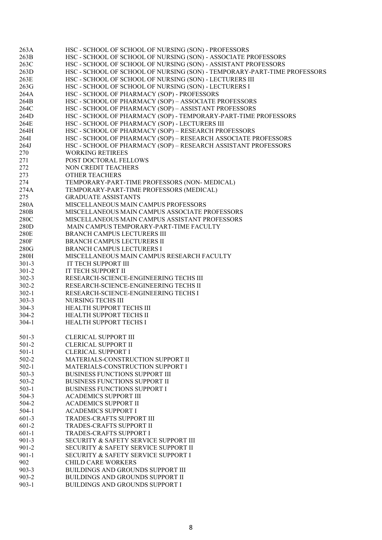| 263A      | HSC - SCHOOL OF SCHOOL OF NURSING (SON) - PROFESSORS                     |
|-----------|--------------------------------------------------------------------------|
| 263B      | HSC - SCHOOL OF SCHOOL OF NURSING (SON) - ASSOCIATE PROFESSORS           |
| 263C      | HSC - SCHOOL OF SCHOOL OF NURSING (SON) - ASSISTANT PROFESSORS           |
| 263D      | HSC - SCHOOL OF SCHOOL OF NURSING (SON) - TEMPORARY-PART-TIME PROFESSORS |
| 263E      | HSC - SCHOOL OF SCHOOL OF NURSING (SON) - LECTURERS III                  |
| 263G      | HSC - SCHOOL OF SCHOOL OF NURSING (SON) - LECTURERS I                    |
| 264A      | HSC - SCHOOL OF PHARMACY (SOP) - PROFESSORS                              |
| 264B      | HSC - SCHOOL OF PHARMACY (SOP) - ASSOCIATE PROFESSORS                    |
| 264C      | HSC - SCHOOL OF PHARMACY (SOP) - ASSISTANT PROFESSORS                    |
| 264D      | HSC - SCHOOL OF PHARMACY (SOP) - TEMPORARY-PART-TIME PROFESSORS          |
| 264E      | HSC - SCHOOL OF PHARMACY (SOP) - LECTURERS III                           |
| 264H      | HSC - SCHOOL OF PHARMACY (SOP) - RESEARCH PROFESSORS                     |
| 264I      | HSC - SCHOOL OF PHARMACY (SOP) - RESEARCH ASSOCIATE PROFESSORS           |
| 264J      | HSC - SCHOOL OF PHARMACY (SOP) - RESEARCH ASSISTANT PROFESSORS           |
| 270       | <b>WORKING RETIREES</b>                                                  |
| 271       | POST DOCTORAL FELLOWS                                                    |
| 272       | NON CREDIT TEACHERS                                                      |
|           | <b>OTHER TEACHERS</b>                                                    |
| 273       |                                                                          |
| 274       | TEMPORARY-PART-TIME PROFESSORS (NON-MEDICAL)                             |
| 274A      | TEMPORARY-PART-TIME PROFESSORS (MEDICAL)                                 |
| 275       | <b>GRADUATE ASSISTANTS</b>                                               |
| 280A      | MISCELLANEOUS MAIN CAMPUS PROFESSORS                                     |
| 280B      | MISCELLANEOUS MAIN CAMPUS ASSOCIATE PROFESSORS                           |
| 280C      | MISCELLANEOUS MAIN CAMPUS ASSISTANT PROFESSORS                           |
| 280D      | MAIN CAMPUS TEMPORARY-PART-TIME FACULTY                                  |
| 280E      | BRANCH CAMPUS LECTURERS III                                              |
| 280F      | BRANCH CAMPUS LECTURERS II                                               |
| 280G      | BRANCH CAMPUS LECTURERS I                                                |
| 280H      | MISCELLANEOUS MAIN CAMPUS RESEARCH FACULTY                               |
| $301 - 3$ | IT TECH SUPPORT III                                                      |
| $301 - 2$ | IT TECH SUPPORT II                                                       |
| $302 - 3$ | RESEARCH-SCIENCE-ENGINEERING TECHS III                                   |
| $302 - 2$ | RESEARCH-SCIENCE-ENGINEERING TECHS II                                    |
| $302 - 1$ | RESEARCH-SCIENCE-ENGINEERING TECHS I                                     |
| $303 - 3$ | NURSING TECHS III                                                        |
| $304 - 3$ | HEALTH SUPPORT TECHS III                                                 |
| $304 - 2$ | HEALTH SUPPORT TECHS II                                                  |
| $304 - 1$ | HEALTH SUPPORT TECHS I                                                   |
|           |                                                                          |
| $501 - 3$ | <b>CLERICAL SUPPORT III</b>                                              |
| $501-2$   | <b>CLERICAL SUPPORT II</b>                                               |
| $501-1$   | <b>CLERICAL SUPPORT I</b>                                                |
| $502 - 2$ | MATERIALS-CONSTRUCTION SUPPORT II                                        |
| $502-1$   | MATERIALS-CONSTRUCTION SUPPORT I                                         |
| $503 - 3$ | BUSINESS FUNCTIONS SUPPORT III                                           |
| $503 - 2$ | <b>BUSINESS FUNCTIONS SUPPORT II</b>                                     |
| $503-1$   | BUSINESS FUNCTIONS SUPPORT I                                             |
| 504-3     | <b>ACADEMICS SUPPORT III</b>                                             |
| 504-2     | <b>ACADEMICS SUPPORT II</b>                                              |
| $504-1$   | <b>ACADEMICS SUPPORT I</b>                                               |
| $601-3$   | TRADES-CRAFTS SUPPORT III                                                |
| 601-2     | TRADES-CRAFTS SUPPORT II                                                 |
| $601-1$   | TRADES-CRAFTS SUPPORT I                                                  |
| $901 - 3$ | SECURITY & SAFETY SERVICE SUPPORT III                                    |
| $901 - 2$ | SECURITY & SAFETY SERVICE SUPPORT II                                     |
| $901 - 1$ | SECURITY & SAFETY SERVICE SUPPORT I                                      |
| 902       | <b>CHILD CARE WORKERS</b>                                                |
| $903 - 3$ | <b>BUILDINGS AND GROUNDS SUPPORT III</b>                                 |
|           |                                                                          |
| $903 - 2$ | <b>BUILDINGS AND GROUNDS SUPPORT II</b>                                  |
| $903 - 1$ | BUILDINGS AND GROUNDS SUPPORT I                                          |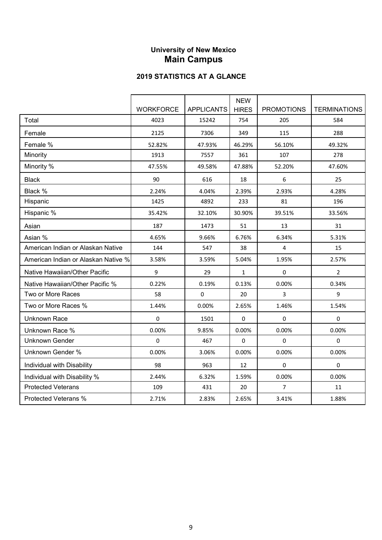## **University of New Mexico Main Campus**

|                                     |                  |                   | <b>NEW</b>   |                   |                     |
|-------------------------------------|------------------|-------------------|--------------|-------------------|---------------------|
|                                     | <b>WORKFORCE</b> | <b>APPLICANTS</b> | <b>HIRES</b> | <b>PROMOTIONS</b> | <b>TERMINATIONS</b> |
| Total                               | 4023             | 15242             | 754          | 205               | 584                 |
| Female                              | 2125             | 7306              | 349          | 115               | 288                 |
| Female %                            | 52.82%           | 47.93%            | 46.29%       | 56.10%            | 49.32%              |
| Minority                            | 1913             | 7557              | 361          | 107               | 278                 |
| Minority %                          | 47.55%           | 49.58%            | 47.88%       | 52.20%            | 47.60%              |
| <b>Black</b>                        | 90               | 616               | 18           | 6                 | 25                  |
| Black %                             | 2.24%            | 4.04%             | 2.39%        | 2.93%             | 4.28%               |
| Hispanic                            | 1425             | 4892              | 233          | 81                | 196                 |
| Hispanic %                          | 35.42%           | 32.10%            | 30.90%       | 39.51%            | 33.56%              |
| Asian                               | 187              | 1473              | 51           | 13                | 31                  |
| Asian %                             | 4.65%            | 9.66%             | 6.76%        | 6.34%             | 5.31%               |
| American Indian or Alaskan Native   | 144              | 547               | 38           | 4                 | 15                  |
| American Indian or Alaskan Native % | 3.58%            | 3.59%             | 5.04%        | 1.95%             | 2.57%               |
| Native Hawaiian/Other Pacific       | 9                | 29                | $\mathbf{1}$ | 0                 | $\overline{2}$      |
| Native Hawaiian/Other Pacific %     | 0.22%            | 0.19%             | 0.13%        | 0.00%             | 0.34%               |
| Two or More Races                   | 58               | 0                 | 20           | 3                 | 9                   |
| Two or More Races %                 | 1.44%            | 0.00%             | 2.65%        | 1.46%             | 1.54%               |
| <b>Unknown Race</b>                 | 0                | 1501              | 0            | 0                 | $\pmb{0}$           |
| Unknown Race %                      | 0.00%            | 9.85%             | 0.00%        | 0.00%             | 0.00%               |
| <b>Unknown Gender</b>               | $\pmb{0}$        | 467               | $\pmb{0}$    | $\pmb{0}$         | $\pmb{0}$           |
| <b>Unknown Gender %</b>             | 0.00%            | 3.06%             | 0.00%        | 0.00%             | 0.00%               |
| Individual with Disability          | 98               | 963               | 12           | 0                 | 0                   |
| Individual with Disability %        | 2.44%            | 6.32%             | 1.59%        | 0.00%             | 0.00%               |
| <b>Protected Veterans</b>           | 109              | 431               | 20           | $\overline{7}$    | 11                  |
| Protected Veterans %                | 2.71%            | 2.83%             | 2.65%        | 3.41%             | 1.88%               |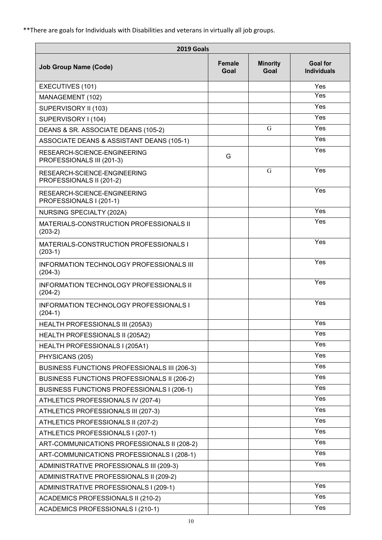\*\*There are goals for Individuals with Disabilities and veterans in virtually all job groups.

| 2019 Goals                                                   |                       |                         |                                       |
|--------------------------------------------------------------|-----------------------|-------------------------|---------------------------------------|
| <b>Job Group Name (Code)</b>                                 | <b>Female</b><br>Goal | <b>Minority</b><br>Goal | <b>Goal for</b><br><b>Individuals</b> |
| EXECUTIVES (101)                                             |                       |                         | Yes                                   |
| MANAGEMENT (102)                                             |                       |                         | Yes                                   |
| SUPERVISORY II (103)                                         |                       |                         | Yes                                   |
| SUPERVISORY I (104)                                          |                       |                         | Yes                                   |
| DEANS & SR. ASSOCIATE DEANS (105-2)                          |                       | G                       | Yes                                   |
| ASSOCIATE DEANS & ASSISTANT DEANS (105-1)                    |                       |                         | Yes                                   |
| RESEARCH-SCIENCE-ENGINEERING<br>PROFESSIONALS III (201-3)    | G                     |                         | Yes                                   |
| RESEARCH-SCIENCE-ENGINEERING<br>PROFESSIONALS II (201-2)     |                       | G                       | Yes                                   |
| RESEARCH-SCIENCE-ENGINEERING<br>PROFESSIONALS I (201-1)      |                       |                         | Yes                                   |
| NURSING SPECIALTY (202A)                                     |                       |                         | Yes                                   |
| MATERIALS-CONSTRUCTION PROFESSIONALS II<br>$(203-2)$         |                       |                         | Yes                                   |
| MATERIALS-CONSTRUCTION PROFESSIONALS I<br>$(203-1)$          |                       |                         | Yes                                   |
| <b>INFORMATION TECHNOLOGY PROFESSIONALS III</b><br>$(204-3)$ |                       |                         | Yes                                   |
| <b>INFORMATION TECHNOLOGY PROFESSIONALS II</b><br>$(204-2)$  |                       |                         | Yes                                   |
| <b>INFORMATION TECHNOLOGY PROFESSIONALS I</b><br>$(204-1)$   |                       |                         | Yes                                   |
| <b>HEALTH PROFESSIONALS III (205A3)</b>                      |                       |                         | Yes                                   |
| HEALTH PROFESSIONALS II (205A2)                              |                       |                         | Yes                                   |
| HEALTH PROFESSIONALS I (205A1)                               |                       |                         | Yes                                   |
| PHYSICANS (205)                                              |                       |                         | Yes                                   |
| BUSINESS FUNCTIONS PROFESSIONALS III (206-3)                 |                       |                         | Yes                                   |
| BUSINESS FUNCTIONS PROFESSIONALS II (206-2)                  |                       |                         | Yes                                   |
| BUSINESS FUNCTIONS PROFESSIONALS I (206-1)                   |                       |                         | Yes                                   |
| ATHLETICS PROFESSIONALS IV (207-4)                           |                       |                         | Yes                                   |
| ATHLETICS PROFESSIONALS III (207-3)                          |                       |                         | Yes                                   |
| ATHLETICS PROFESSIONALS II (207-2)                           |                       |                         | Yes                                   |
| ATHLETICS PROFESSIONALS I (207-1)                            |                       |                         | Yes                                   |
| ART-COMMUNICATIONS PROFESSIONALS II (208-2)                  |                       |                         | Yes                                   |
| ART-COMMUNICATIONS PROFESSIONALS I (208-1)                   |                       |                         | Yes                                   |
| ADMINISTRATIVE PROFESSIONALS III (209-3)                     |                       |                         | Yes                                   |
| ADMINISTRATIVE PROFESSIONALS II (209-2)                      |                       |                         |                                       |
| ADMINISTRATIVE PROFESSIONALS I (209-1)                       |                       |                         | Yes                                   |
| ACADEMICS PROFESSIONALS II (210-2)                           |                       |                         | Yes                                   |
| ACADEMICS PROFESSIONALS I (210-1)                            |                       |                         | Yes                                   |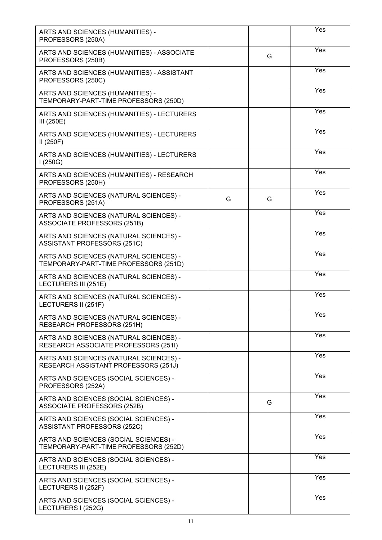| ARTS AND SCIENCES (HUMANITIES) -<br>PROFESSORS (250A)                           |   |   | Yes              |
|---------------------------------------------------------------------------------|---|---|------------------|
| ARTS AND SCIENCES (HUMANITIES) - ASSOCIATE<br>PROFESSORS (250B)                 |   | G | Yes              |
| ARTS AND SCIENCES (HUMANITIES) - ASSISTANT<br>PROFESSORS (250C)                 |   |   | Yes              |
| ARTS AND SCIENCES (HUMANITIES) -<br>TEMPORARY-PART-TIME PROFESSORS (250D)       |   |   | Yes              |
| ARTS AND SCIENCES (HUMANITIES) - LECTURERS<br>III $(250E)$                      |   |   | Yes              |
| ARTS AND SCIENCES (HUMANITIES) - LECTURERS<br>II(250F)                          |   |   | Yes              |
| ARTS AND SCIENCES (HUMANITIES) - LECTURERS<br>1(250G)                           |   |   | Yes              |
| ARTS AND SCIENCES (HUMANITIES) - RESEARCH<br>PROFESSORS (250H)                  |   |   | Yes              |
| ARTS AND SCIENCES (NATURAL SCIENCES) -<br>PROFESSORS (251A)                     | G | G | Yes              |
| ARTS AND SCIENCES (NATURAL SCIENCES) -<br><b>ASSOCIATE PROFESSORS (251B)</b>    |   |   | Yes              |
| ARTS AND SCIENCES (NATURAL SCIENCES) -<br>ASSISTANT PROFESSORS (251C)           |   |   | Yes              |
| ARTS AND SCIENCES (NATURAL SCIENCES) -<br>TEMPORARY-PART-TIME PROFESSORS (251D) |   |   | $\overline{Yes}$ |
| ARTS AND SCIENCES (NATURAL SCIENCES) -<br>LECTURERS III (251E)                  |   |   | Yes              |
| ARTS AND SCIENCES (NATURAL SCIENCES) -<br>LECTURERS II (251F)                   |   |   | Yes              |
| ARTS AND SCIENCES (NATURAL SCIENCES) -<br>RESEARCH PROFESSORS (251H)            |   |   | Yes              |
| ARTS AND SCIENCES (NATURAL SCIENCES) -<br>RESEARCH ASSOCIATE PROFESSORS (251I)  |   |   | Yes              |
| ARTS AND SCIENCES (NATURAL SCIENCES) -<br>RESEARCH ASSISTANT PROFESSORS (251J)  |   |   | Yes              |
| ARTS AND SCIENCES (SOCIAL SCIENCES) -<br>PROFESSORS (252A)                      |   |   | Yes              |
| ARTS AND SCIENCES (SOCIAL SCIENCES) -<br>ASSOCIATE PROFESSORS (252B)            |   | G | Yes              |
| ARTS AND SCIENCES (SOCIAL SCIENCES) -<br>ASSISTANT PROFESSORS (252C)            |   |   | Yes              |
| ARTS AND SCIENCES (SOCIAL SCIENCES) -<br>TEMPORARY-PART-TIME PROFESSORS (252D)  |   |   | Yes              |
| ARTS AND SCIENCES (SOCIAL SCIENCES) -<br>LECTURERS III (252E)                   |   |   | Yes              |
| ARTS AND SCIENCES (SOCIAL SCIENCES) -<br>LECTURERS II (252F)                    |   |   | Yes              |
| ARTS AND SCIENCES (SOCIAL SCIENCES) -<br>LECTURERS I (252G)                     |   |   | Yes              |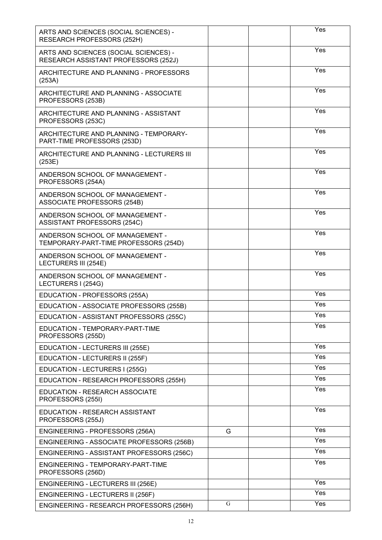| ARTS AND SCIENCES (SOCIAL SCIENCES) -<br>RESEARCH PROFESSORS (252H)           |   | Yes |
|-------------------------------------------------------------------------------|---|-----|
| ARTS AND SCIENCES (SOCIAL SCIENCES) -<br>RESEARCH ASSISTANT PROFESSORS (252J) |   | Yes |
| ARCHITECTURE AND PLANNING - PROFESSORS<br>(253A)                              |   | Yes |
| ARCHITECTURE AND PLANNING - ASSOCIATE<br>PROFESSORS (253B)                    |   | Yes |
| ARCHITECTURE AND PLANNING - ASSISTANT<br>PROFESSORS (253C)                    |   | Yes |
| ARCHITECTURE AND PLANNING - TEMPORARY-<br>PART-TIME PROFESSORS (253D)         |   | Yes |
| ARCHITECTURE AND PLANNING - LECTURERS III<br>(253E)                           |   | Yes |
| ANDERSON SCHOOL OF MANAGEMENT -<br>PROFESSORS (254A)                          |   | Yes |
| ANDERSON SCHOOL OF MANAGEMENT -<br>ASSOCIATE PROFESSORS (254B)                |   | Yes |
| ANDERSON SCHOOL OF MANAGEMENT -<br>ASSISTANT PROFESSORS (254C)                |   | Yes |
| ANDERSON SCHOOL OF MANAGEMENT -<br>TEMPORARY-PART-TIME PROFESSORS (254D)      |   | Yes |
| ANDERSON SCHOOL OF MANAGEMENT -<br>LECTURERS III (254E)                       |   | Yes |
| ANDERSON SCHOOL OF MANAGEMENT -<br>LECTURERS I (254G)                         |   | Yes |
| EDUCATION - PROFESSORS (255A)                                                 |   | Yes |
| EDUCATION - ASSOCIATE PROFESSORS (255B)                                       |   | Yes |
| EDUCATION - ASSISTANT PROFESSORS (255C)                                       |   | Yes |
| EDUCATION - TEMPORARY-PART-TIME<br>PROFESSORS (255D)                          |   | Yes |
| EDUCATION - LECTURERS III (255E)                                              |   | Yes |
| EDUCATION - LECTURERS II (255F)                                               |   | Yes |
| EDUCATION - LECTURERS I (255G)                                                |   | Yes |
| EDUCATION - RESEARCH PROFESSORS (255H)                                        |   | Yes |
| <b>EDUCATION - RESEARCH ASSOCIATE</b><br>PROFESSORS (255I)                    |   | Yes |
| EDUCATION - RESEARCH ASSISTANT<br>PROFESSORS (255J)                           |   | Yes |
| ENGINEERING - PROFESSORS (256A)                                               | G | Yes |
| ENGINEERING - ASSOCIATE PROFESSORS (256B)                                     |   | Yes |
| ENGINEERING - ASSISTANT PROFESSORS (256C)                                     |   | Yes |
| ENGINEERING - TEMPORARY-PART-TIME<br>PROFESSORS (256D)                        |   | Yes |
| ENGINEERING - LECTURERS III (256E)                                            |   | Yes |
| ENGINEERING - LECTURERS II (256F)                                             |   | Yes |
|                                                                               |   |     |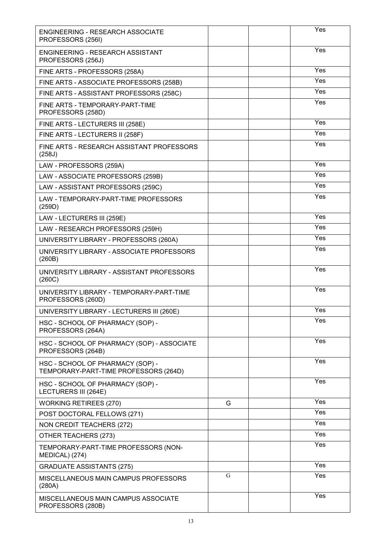| <b>ENGINEERING - RESEARCH ASSOCIATE</b><br>PROFESSORS (256I)              |   | Yes |
|---------------------------------------------------------------------------|---|-----|
| ENGINEERING - RESEARCH ASSISTANT<br>PROFESSORS (256J)                     |   | Yes |
| FINE ARTS - PROFESSORS (258A)                                             |   | Yes |
| FINE ARTS - ASSOCIATE PROFESSORS (258B)                                   |   | Yes |
| FINE ARTS - ASSISTANT PROFESSORS (258C)                                   |   | Yes |
| FINE ARTS - TEMPORARY-PART-TIME<br>PROFESSORS (258D)                      |   | Yes |
| FINE ARTS - LECTURERS III (258E)                                          |   | Yes |
| FINE ARTS - LECTURERS II (258F)                                           |   | Yes |
| FINE ARTS - RESEARCH ASSISTANT PROFESSORS<br>(258J)                       |   | Yes |
| LAW - PROFESSORS (259A)                                                   |   | Yes |
| LAW - ASSOCIATE PROFESSORS (259B)                                         |   | Yes |
| LAW - ASSISTANT PROFESSORS (259C)                                         |   | Yes |
| LAW - TEMPORARY-PART-TIME PROFESSORS<br>(259D)                            |   | Yes |
| LAW - LECTURERS III (259E)                                                |   | Yes |
| LAW - RESEARCH PROFESSORS (259H)                                          |   | Yes |
| UNIVERSITY LIBRARY - PROFESSORS (260A)                                    |   | Yes |
| UNIVERSITY LIBRARY - ASSOCIATE PROFESSORS<br>(260B)                       |   | Yes |
| UNIVERSITY LIBRARY - ASSISTANT PROFESSORS<br>(260C)                       |   | Yes |
| UNIVERSITY LIBRARY - TEMPORARY-PART-TIME<br>PROFESSORS (260D)             |   | Yes |
| UNIVERSITY LIBRARY - LECTURERS III (260E)                                 |   | Yes |
| HSC - SCHOOL OF PHARMACY (SOP) -<br>PROFESSORS (264A)                     |   | Yes |
| HSC - SCHOOL OF PHARMACY (SOP) - ASSOCIATE<br>PROFESSORS (264B)           |   | Yes |
| HSC - SCHOOL OF PHARMACY (SOP) -<br>TEMPORARY-PART-TIME PROFESSORS (264D) |   | Yes |
| HSC - SCHOOL OF PHARMACY (SOP) -<br>LECTURERS III (264E)                  |   | Yes |
| <b>WORKING RETIREES (270)</b>                                             | G | Yes |
| POST DOCTORAL FELLOWS (271)                                               |   | Yes |
| NON CREDIT TEACHERS (272)                                                 |   | Yes |
| OTHER TEACHERS (273)                                                      |   | Yes |
| TEMPORARY-PART-TIME PROFESSORS (NON-<br>MEDICAL) (274)                    |   | Yes |
| <b>GRADUATE ASSISTANTS (275)</b>                                          |   | Yes |
| MISCELLANEOUS MAIN CAMPUS PROFESSORS<br>(280A)                            | G | Yes |
| MISCELLANEOUS MAIN CAMPUS ASSOCIATE<br>PROFESSORS (280B)                  |   | Yes |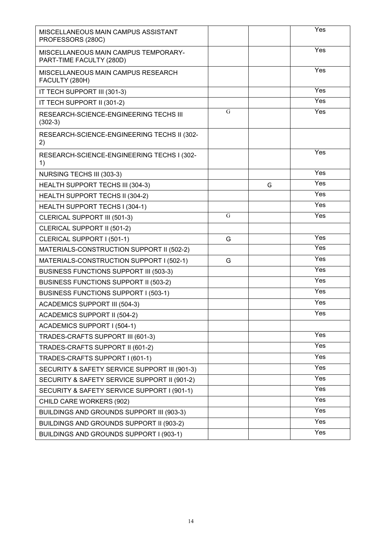| MISCELLANEOUS MAIN CAMPUS ASSISTANT<br>PROFESSORS (280C)         |   |   | Yes               |
|------------------------------------------------------------------|---|---|-------------------|
| MISCELLANEOUS MAIN CAMPUS TEMPORARY-<br>PART-TIME FACULTY (280D) |   |   | Yes               |
| MISCELLANEOUS MAIN CAMPUS RESEARCH<br>FACULTY (280H)             |   |   | Yes               |
| IT TECH SUPPORT III (301-3)                                      |   |   | Yes               |
| IT TECH SUPPORT II (301-2)                                       |   |   | Yes               |
| RESEARCH-SCIENCE-ENGINEERING TECHS III<br>$(302-3)$              | G |   | Yes               |
| RESEARCH-SCIENCE-ENGINEERING TECHS II (302-<br>2)                |   |   |                   |
| RESEARCH-SCIENCE-ENGINEERING TECHS I (302-<br>1)                 |   |   | Yes               |
| NURSING TECHS III (303-3)                                        |   |   | Yes               |
| HEALTH SUPPORT TECHS III (304-3)                                 |   | G | $\overline{Yes}$  |
| HEALTH SUPPORT TECHS II (304-2)                                  |   |   | Yes               |
| HEALTH SUPPORT TECHS I (304-1)                                   |   |   | Yes               |
| CLERICAL SUPPORT III (501-3)                                     | G |   | Yes               |
| CLERICAL SUPPORT II (501-2)                                      |   |   |                   |
| CLERICAL SUPPORT I (501-1)                                       | G |   | Yes               |
| MATERIALS-CONSTRUCTION SUPPORT II (502-2)                        |   |   | Yes               |
| MATERIALS-CONSTRUCTION SUPPORT I (502-1)                         | G |   | Yes               |
| <b>BUSINESS FUNCTIONS SUPPORT III (503-3)</b>                    |   |   | $\overline{Y}$ es |
| <b>BUSINESS FUNCTIONS SUPPORT II (503-2)</b>                     |   |   | Yes               |
| <b>BUSINESS FUNCTIONS SUPPORT I (503-1)</b>                      |   |   | Yes               |
| <b>ACADEMICS SUPPORT III (504-3)</b>                             |   |   | $\overline{Y}$ es |
| ACADEMICS SUPPORT II (504-2)                                     |   |   | Yes               |
| <b>ACADEMICS SUPPORT I (504-1)</b>                               |   |   |                   |
| TRADES-CRAFTS SUPPORT III (601-3)                                |   |   | Yes               |
| TRADES-CRAFTS SUPPORT II (601-2)                                 |   |   | Yes               |
| TRADES-CRAFTS SUPPORT I (601-1)                                  |   |   | Yes               |
| SECURITY & SAFETY SERVICE SUPPORT III (901-3)                    |   |   | Yes               |
| SECURITY & SAFETY SERVICE SUPPORT II (901-2)                     |   |   | Yes               |
| SECURITY & SAFETY SERVICE SUPPORT I (901-1)                      |   |   | Yes               |
| CHILD CARE WORKERS (902)                                         |   |   | Yes               |
| BUILDINGS AND GROUNDS SUPPORT III (903-3)                        |   |   | Yes               |
| BUILDINGS AND GROUNDS SUPPORT II (903-2)                         |   |   | Yes               |
| BUILDINGS AND GROUNDS SUPPORT I (903-1)                          |   |   | Yes               |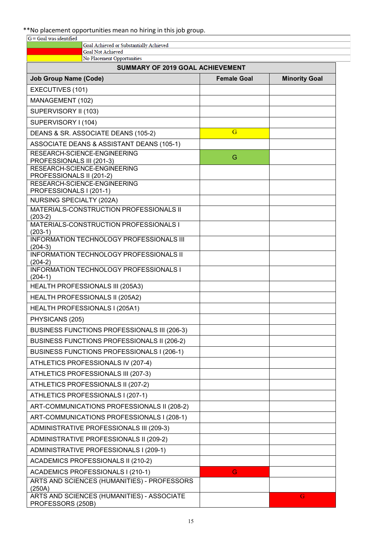# \*\*No placement opportunities mean no hiring in this job group.

| $G =$ Goal was identified                                           |                    |                      |
|---------------------------------------------------------------------|--------------------|----------------------|
| Goal Achieved or Substantially Achieved<br><b>Goal Not Achieved</b> |                    |                      |
| No Placement Opportunities                                          |                    |                      |
| <b>SUMMARY OF 2019 GOAL ACHIEVEMENT</b>                             |                    |                      |
| <b>Job Group Name (Code)</b>                                        | <b>Female Goal</b> | <b>Minority Goal</b> |
| EXECUTIVES (101)                                                    |                    |                      |
| MANAGEMENT (102)                                                    |                    |                      |
| SUPERVISORY II (103)                                                |                    |                      |
| SUPERVISORY I (104)                                                 |                    |                      |
| DEANS & SR. ASSOCIATE DEANS (105-2)                                 | G                  |                      |
| ASSOCIATE DEANS & ASSISTANT DEANS (105-1)                           |                    |                      |
| RESEARCH-SCIENCE-ENGINEERING                                        | G                  |                      |
| PROFESSIONALS III (201-3)<br>RESEARCH-SCIENCE-ENGINEERING           |                    |                      |
| PROFESSIONALS II (201-2)                                            |                    |                      |
| RESEARCH-SCIENCE-ENGINEERING<br>PROFESSIONALS I (201-1)             |                    |                      |
| NURSING SPECIALTY (202A)                                            |                    |                      |
| MATERIALS-CONSTRUCTION PROFESSIONALS II                             |                    |                      |
| $(203-2)$<br>MATERIALS-CONSTRUCTION PROFESSIONALS I                 |                    |                      |
| $(203-1)$                                                           |                    |                      |
| <b>INFORMATION TECHNOLOGY PROFESSIONALS III</b>                     |                    |                      |
| $(204-3)$<br><b>INFORMATION TECHNOLOGY PROFESSIONALS II</b>         |                    |                      |
| $(204-2)$                                                           |                    |                      |
| <b>INFORMATION TECHNOLOGY PROFESSIONALS I</b><br>$(204-1)$          |                    |                      |
| HEALTH PROFESSIONALS III (205A3)                                    |                    |                      |
| HEALTH PROFESSIONALS II (205A2)                                     |                    |                      |
| HEALTH PROFESSIONALS I (205A1)                                      |                    |                      |
| PHYSICANS (205)                                                     |                    |                      |
| <b>BUSINESS FUNCTIONS PROFESSIONALS III (206-3)</b>                 |                    |                      |
| BUSINESS FUNCTIONS PROFESSIONALS II (206-2)                         |                    |                      |
| BUSINESS FUNCTIONS PROFESSIONALS I (206-1)                          |                    |                      |
| ATHLETICS PROFESSIONALS IV (207-4)                                  |                    |                      |
| ATHLETICS PROFESSIONALS III (207-3)                                 |                    |                      |
| ATHLETICS PROFESSIONALS II (207-2)                                  |                    |                      |
| ATHLETICS PROFESSIONALS I (207-1)                                   |                    |                      |
| ART-COMMUNICATIONS PROFESSIONALS II (208-2)                         |                    |                      |
| ART-COMMUNICATIONS PROFESSIONALS I (208-1)                          |                    |                      |
| ADMINISTRATIVE PROFESSIONALS III (209-3)                            |                    |                      |
| ADMINISTRATIVE PROFESSIONALS II (209-2)                             |                    |                      |
| ADMINISTRATIVE PROFESSIONALS I (209-1)                              |                    |                      |
| <b>ACADEMICS PROFESSIONALS II (210-2)</b>                           |                    |                      |
| ACADEMICS PROFESSIONALS I (210-1)                                   | G                  |                      |
| ARTS AND SCIENCES (HUMANITIES) - PROFESSORS                         |                    |                      |
| (250A)<br>ARTS AND SCIENCES (HUMANITIES) - ASSOCIATE                |                    | G                    |
| PROFESSORS (250B)                                                   |                    |                      |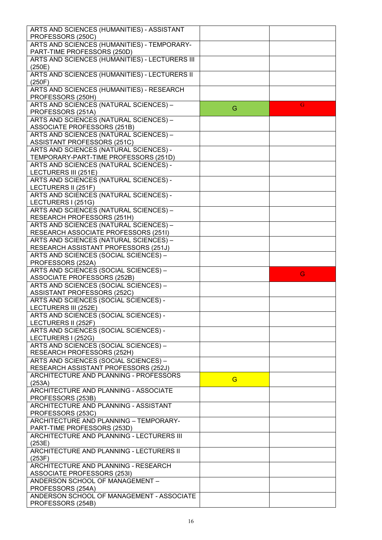| ARTS AND SCIENCES (HUMANITIES) - ASSISTANT     |   |   |
|------------------------------------------------|---|---|
|                                                |   |   |
| PROFESSORS (250C)                              |   |   |
| ARTS AND SCIENCES (HUMANITIES) - TEMPORARY-    |   |   |
| PART-TIME PROFESSORS (250D)                    |   |   |
| ARTS AND SCIENCES (HUMANITIES) - LECTURERS III |   |   |
| (250E)                                         |   |   |
| ARTS AND SCIENCES (HUMANITIES) - LECTURERS II  |   |   |
|                                                |   |   |
| (250F)                                         |   |   |
| ARTS AND SCIENCES (HUMANITIES) - RESEARCH      |   |   |
| PROFESSORS (250H)                              |   |   |
| ARTS AND SCIENCES (NATURAL SCIENCES) -         |   | G |
|                                                | G |   |
| PROFESSORS (251A)                              |   |   |
| ARTS AND SCIENCES (NATURAL SCIENCES) -         |   |   |
| ASSOCIATE PROFESSORS (251B)                    |   |   |
| ARTS AND SCIENCES (NATURAL SCIENCES) -         |   |   |
| ASSISTANT PROFESSORS (251C)                    |   |   |
|                                                |   |   |
| ARTS AND SCIENCES (NATURAL SCIENCES) -         |   |   |
| TEMPORARY-PART-TIME PROFESSORS (251D)          |   |   |
| ARTS AND SCIENCES (NATURAL SCIENCES) -         |   |   |
| LECTURERS III (251E)                           |   |   |
| ARTS AND SCIENCES (NATURAL SCIENCES) -         |   |   |
|                                                |   |   |
| LECTURERS II (251F)                            |   |   |
| ARTS AND SCIENCES (NATURAL SCIENCES) -         |   |   |
| LECTURERS I (251G)                             |   |   |
| ARTS AND SCIENCES (NATURAL SCIENCES) -         |   |   |
|                                                |   |   |
| RESEARCH PROFESSORS (251H)                     |   |   |
| ARTS AND SCIENCES (NATURAL SCIENCES) -         |   |   |
| RESEARCH ASSOCIATE PROFESSORS (251I)           |   |   |
| ARTS AND SCIENCES (NATURAL SCIENCES) -         |   |   |
| RESEARCH ASSISTANT PROFESSORS (251J)           |   |   |
|                                                |   |   |
| ARTS AND SCIENCES (SOCIAL SCIENCES) -          |   |   |
| PROFESSORS (252A)                              |   |   |
| ARTS AND SCIENCES (SOCIAL SCIENCES) -          |   |   |
| <b>ASSOCIATE PROFESSORS (252B)</b>             |   | G |
| ARTS AND SCIENCES (SOCIAL SCIENCES) -          |   |   |
|                                                |   |   |
| ASSISTANT PROFESSORS (252C)                    |   |   |
| ARTS AND SCIENCES (SOCIAL SCIENCES) -          |   |   |
| LECTURERS III (252E)                           |   |   |
| ARTS AND SCIENCES (SOCIAL SCIENCES) -          |   |   |
|                                                |   |   |
| LECTURERS II (252F)                            |   |   |
| ARTS AND SCIENCES (SOCIAL SCIENCES) -          |   |   |
| LECTURERS I (252G)                             |   |   |
| ARTS AND SCIENCES (SOCIAL SCIENCES) -          |   |   |
| RESEARCH PROFESSORS (252H)                     |   |   |
|                                                |   |   |
| ARTS AND SCIENCES (SOCIAL SCIENCES) -          |   |   |
| RESEARCH ASSISTANT PROFESSORS (252J)           |   |   |
| ARCHITECTURE AND PLANNING - PROFESSORS         |   |   |
| (253A)                                         | G |   |
| ARCHITECTURE AND PLANNING - ASSOCIATE          |   |   |
|                                                |   |   |
| PROFESSORS (253B)                              |   |   |
| ARCHITECTURE AND PLANNING - ASSISTANT          |   |   |
| PROFESSORS (253C)                              |   |   |
| ARCHITECTURE AND PLANNING - TEMPORARY-         |   |   |
|                                                |   |   |
| PART-TIME PROFESSORS (253D)                    |   |   |
| ARCHITECTURE AND PLANNING - LECTURERS III      |   |   |
| (253E)                                         |   |   |
| ARCHITECTURE AND PLANNING - LECTURERS II       |   |   |
| (253F)                                         |   |   |
|                                                |   |   |
| ARCHITECTURE AND PLANNING - RESEARCH           |   |   |
| <b>ASSOCIATE PROFESSORS (253I)</b>             |   |   |
| ANDERSON SCHOOL OF MANAGEMENT -                |   |   |
| PROFESSORS (254A)                              |   |   |
| ANDERSON SCHOOL OF MANAGEMENT - ASSOCIATE      |   |   |
|                                                |   |   |
| PROFESSORS (254B)                              |   |   |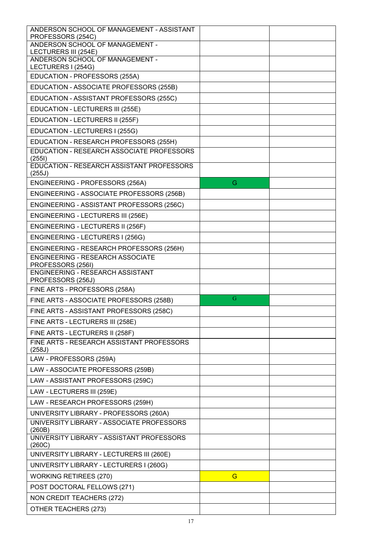| ANDERSON SCHOOL OF MANAGEMENT - ASSISTANT<br>PROFESSORS (254C) |   |  |
|----------------------------------------------------------------|---|--|
| ANDERSON SCHOOL OF MANAGEMENT -                                |   |  |
| LECTURERS III (254E)<br>ANDERSON SCHOOL OF MANAGEMENT -        |   |  |
| LECTURERS I (254G)                                             |   |  |
| EDUCATION - PROFESSORS (255A)                                  |   |  |
| EDUCATION - ASSOCIATE PROFESSORS (255B)                        |   |  |
| EDUCATION - ASSISTANT PROFESSORS (255C)                        |   |  |
| EDUCATION - LECTURERS III (255E)                               |   |  |
| EDUCATION - LECTURERS II (255F)                                |   |  |
| EDUCATION - LECTURERS I (255G)                                 |   |  |
| EDUCATION - RESEARCH PROFESSORS (255H)                         |   |  |
| EDUCATION - RESEARCH ASSOCIATE PROFESSORS<br>(2551)            |   |  |
| EDUCATION - RESEARCH ASSISTANT PROFESSORS<br>(255J)            |   |  |
| ENGINEERING - PROFESSORS (256A)                                | G |  |
| ENGINEERING - ASSOCIATE PROFESSORS (256B)                      |   |  |
| ENGINEERING - ASSISTANT PROFESSORS (256C)                      |   |  |
| ENGINEERING - LECTURERS III (256E)                             |   |  |
| ENGINEERING - LECTURERS II (256F)                              |   |  |
| ENGINEERING - LECTURERS I (256G)                               |   |  |
| ENGINEERING - RESEARCH PROFESSORS (256H)                       |   |  |
| <b>ENGINEERING - RESEARCH ASSOCIATE</b><br>PROFESSORS (256I)   |   |  |
| ENGINEERING - RESEARCH ASSISTANT<br>PROFESSORS (256J)          |   |  |
| FINE ARTS - PROFESSORS (258A)                                  |   |  |
| FINE ARTS - ASSOCIATE PROFESSORS (258B)                        | G |  |
| FINE ARTS - ASSISTANT PROFESSORS (258C)                        |   |  |
| FINE ARTS - LECTURERS III (258E)                               |   |  |
| FINE ARTS - LECTURERS II (258F)                                |   |  |
| FINE ARTS - RESEARCH ASSISTANT PROFESSORS                      |   |  |
| (258J)<br>LAW - PROFESSORS (259A)                              |   |  |
| LAW - ASSOCIATE PROFESSORS (259B)                              |   |  |
| LAW - ASSISTANT PROFESSORS (259C)                              |   |  |
| LAW - LECTURERS III (259E)                                     |   |  |
| LAW - RESEARCH PROFESSORS (259H)                               |   |  |
| UNIVERSITY LIBRARY - PROFESSORS (260A)                         |   |  |
| UNIVERSITY LIBRARY - ASSOCIATE PROFESSORS                      |   |  |
| (260B)                                                         |   |  |
| UNIVERSITY LIBRARY - ASSISTANT PROFESSORS<br>(260C)            |   |  |
| UNIVERSITY LIBRARY - LECTURERS III (260E)                      |   |  |
| UNIVERSITY LIBRARY - LECTURERS I (260G)                        |   |  |
| <b>WORKING RETIREES (270)</b>                                  | G |  |
| POST DOCTORAL FELLOWS (271)                                    |   |  |
| NON CREDIT TEACHERS (272)                                      |   |  |
| OTHER TEACHERS (273)                                           |   |  |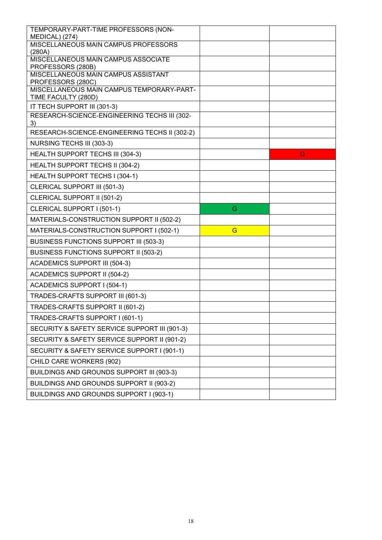| TEMPORARY-PART-TIME PROFESSORS (NON-<br>MEDICAL) (274)           |   |   |
|------------------------------------------------------------------|---|---|
| MISCELLANEOUS MAIN CAMPUS PROFESSORS<br>(280A)                   |   |   |
| MISCELLANEOUS MAIN CAMPUS ASSOCIATE<br>PROFESSORS (280B)         |   |   |
| MISCELLANEOUS MAIN CAMPUS ASSISTANT<br>PROFESSORS (280C)         |   |   |
| MISCELLANEOUS MAIN CAMPUS TEMPORARY-PART-<br>TIME FACULTY (280D) |   |   |
| IT TECH SUPPORT III (301-3)                                      |   |   |
| RESEARCH-SCIENCE-ENGINEERING TECHS III (302-<br>3)               |   |   |
| RESEARCH-SCIENCE-ENGINEERING TECHS II (302-2)                    |   |   |
| NURSING TECHS III (303-3)                                        |   |   |
| HEALTH SUPPORT TECHS III (304-3)                                 |   | G |
| HEALTH SUPPORT TECHS II (304-2)                                  |   |   |
| HEALTH SUPPORT TECHS I (304-1)                                   |   |   |
| <b>CLERICAL SUPPORT III (501-3)</b>                              |   |   |
| CLERICAL SUPPORT II (501-2)                                      |   |   |
| CLERICAL SUPPORT I (501-1)                                       | G |   |
| MATERIALS-CONSTRUCTION SUPPORT II (502-2)                        |   |   |
| MATERIALS-CONSTRUCTION SUPPORT I (502-1)                         | G |   |
| <b>BUSINESS FUNCTIONS SUPPORT III (503-3)</b>                    |   |   |
| <b>BUSINESS FUNCTIONS SUPPORT II (503-2)</b>                     |   |   |
| <b>ACADEMICS SUPPORT III (504-3)</b>                             |   |   |
| <b>ACADEMICS SUPPORT II (504-2)</b>                              |   |   |
| <b>ACADEMICS SUPPORT I (504-1)</b>                               |   |   |
| TRADES-CRAFTS SUPPORT III (601-3)                                |   |   |
| TRADES-CRAFTS SUPPORT II (601-2)                                 |   |   |
| TRADES-CRAFTS SUPPORT I (601-1)                                  |   |   |
| SECURITY & SAFETY SERVICE SUPPORT III (901-3)                    |   |   |
| SECURITY & SAFETY SERVICE SUPPORT II (901-2)                     |   |   |
| SECURITY & SAFETY SERVICE SUPPORT I (901-1)                      |   |   |
| CHILD CARE WORKERS (902)                                         |   |   |
| BUILDINGS AND GROUNDS SUPPORT III (903-3)                        |   |   |
| BUILDINGS AND GROUNDS SUPPORT II (903-2)                         |   |   |
| BUILDINGS AND GROUNDS SUPPORT I (903-1)                          |   |   |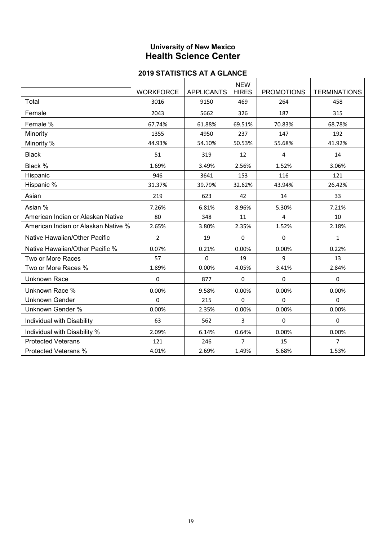# **University of New Mexico Health Science Center**

|                                     |                  |                   | <b>NEW</b>     |                   |                     |
|-------------------------------------|------------------|-------------------|----------------|-------------------|---------------------|
|                                     | <b>WORKFORCE</b> | <b>APPLICANTS</b> | <b>HIRES</b>   | <b>PROMOTIONS</b> | <b>TERMINATIONS</b> |
| Total                               | 3016             | 9150              | 469            | 264               | 458                 |
| Female                              | 2043             | 5662              | 326            | 187               | 315                 |
| Female %                            | 67.74%           | 61.88%            | 69.51%         | 70.83%            | 68.78%              |
| Minority                            | 1355             | 4950              | 237            | 147               | 192                 |
| Minority %                          | 44.93%           | 54.10%            | 50.53%         | 55.68%            | 41.92%              |
| <b>Black</b>                        | 51               | 319               | 12             | 4                 | 14                  |
| Black %                             | 1.69%            | 3.49%             | 2.56%          | 1.52%             | 3.06%               |
| Hispanic                            | 946              | 3641              | 153            | 116               | 121                 |
| Hispanic %                          | 31.37%           | 39.79%            | 32.62%         | 43.94%            | 26.42%              |
| Asian                               | 219              | 623               | 42             | 14                | 33                  |
| Asian %                             | 7.26%            | 6.81%             | 8.96%          | 5.30%             | 7.21%               |
| American Indian or Alaskan Native   | 80               | 348               | 11             | 4                 | 10                  |
| American Indian or Alaskan Native % | 2.65%            | 3.80%             | 2.35%          | 1.52%             | 2.18%               |
| Native Hawaiian/Other Pacific       | $\overline{2}$   | 19                | 0              | 0                 | $\mathbf{1}$        |
| Native Hawaiian/Other Pacific %     | 0.07%            | 0.21%             | 0.00%          | 0.00%             | 0.22%               |
| Two or More Races                   | 57               | 0                 | 19             | 9                 | 13                  |
| Two or More Races %                 | 1.89%            | 0.00%             | 4.05%          | 3.41%             | 2.84%               |
| <b>Unknown Race</b>                 | 0                | 877               | 0              | 0                 | 0                   |
| Unknown Race %                      | 0.00%            | 9.58%             | 0.00%          | 0.00%             | 0.00%               |
| <b>Unknown Gender</b>               | $\Omega$         | 215               | 0              | 0                 | 0                   |
| Unknown Gender %                    | 0.00%            | 2.35%             | 0.00%          | 0.00%             | 0.00%               |
| Individual with Disability          | 63               | 562               | 3              | 0                 | 0                   |
| Individual with Disability %        | 2.09%            | 6.14%             | 0.64%          | 0.00%             | 0.00%               |
| <b>Protected Veterans</b>           | 121              | 246               | $\overline{7}$ | 15                | 7                   |
| Protected Veterans %                | 4.01%            | 2.69%             | 1.49%          | 5.68%             | 1.53%               |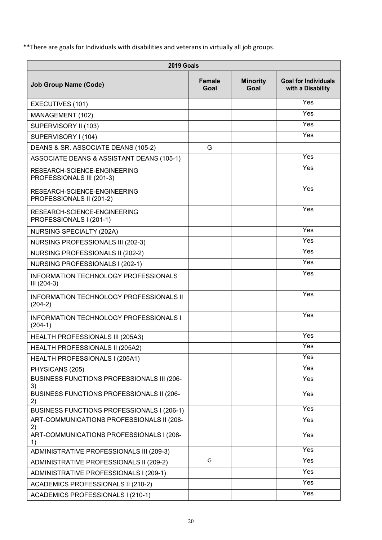\*\*There are goals for Individuals with disabilities and veterans in virtually all job groups.

| 2019 Goals                                                  |                       |                         |                                                  |
|-------------------------------------------------------------|-----------------------|-------------------------|--------------------------------------------------|
| <b>Job Group Name (Code)</b>                                | <b>Female</b><br>Goal | <b>Minority</b><br>Goal | <b>Goal for Individuals</b><br>with a Disability |
| EXECUTIVES (101)                                            |                       |                         | Yes                                              |
| MANAGEMENT (102)                                            |                       |                         | Yes                                              |
| SUPERVISORY II (103)                                        |                       |                         | Yes                                              |
| SUPERVISORY I (104)                                         |                       |                         | Yes                                              |
| DEANS & SR. ASSOCIATE DEANS (105-2)                         | G                     |                         |                                                  |
| ASSOCIATE DEANS & ASSISTANT DEANS (105-1)                   |                       |                         | Yes                                              |
| RESEARCH-SCIENCE-ENGINEERING<br>PROFESSIONALS III (201-3)   |                       |                         | Yes                                              |
| RESEARCH-SCIENCE-ENGINEERING<br>PROFESSIONALS II (201-2)    |                       |                         | Yes                                              |
| RESEARCH-SCIENCE-ENGINEERING<br>PROFESSIONALS I (201-1)     |                       |                         | Yes                                              |
| <b>NURSING SPECIALTY (202A)</b>                             |                       |                         | Yes                                              |
| <b>NURSING PROFESSIONALS III (202-3)</b>                    |                       |                         | Yes                                              |
| NURSING PROFESSIONALS II (202-2)                            |                       |                         | Yes                                              |
| NURSING PROFESSIONALS I (202-1)                             |                       |                         | Yes                                              |
| <b>INFORMATION TECHNOLOGY PROFESSIONALS</b><br>III (204-3)  |                       |                         | Yes                                              |
| <b>INFORMATION TECHNOLOGY PROFESSIONALS II</b><br>$(204-2)$ |                       |                         | Yes                                              |
| <b>INFORMATION TECHNOLOGY PROFESSIONALS I</b><br>$(204-1)$  |                       |                         | Yes                                              |
| HEALTH PROFESSIONALS III (205A3)                            |                       |                         | Yes                                              |
| HEALTH PROFESSIONALS II (205A2)                             |                       |                         | Yes                                              |
| HEALTH PROFESSIONALS I (205A1)                              |                       |                         | Yes                                              |
| PHYSICANS (205)                                             |                       |                         | Yes                                              |
| BUSINESS FUNCTIONS PROFESSIONALS III (206-<br>3)            |                       |                         | $\overline{Y}$ es                                |
| BUSINESS FUNCTIONS PROFESSIONALS II (206-<br>2)             |                       |                         | Yes                                              |
| BUSINESS FUNCTIONS PROFESSIONALS I (206-1)                  |                       |                         | Yes                                              |
| ART-COMMUNICATIONS PROFESSIONALS II (208-                   |                       |                         | Yes                                              |
| 2)<br>ART-COMMUNICATIONS PROFESSIONALS I (208-<br>1)        |                       |                         | Yes                                              |
| ADMINISTRATIVE PROFESSIONALS III (209-3)                    |                       |                         | Yes                                              |
| ADMINISTRATIVE PROFESSIONALS II (209-2)                     | G                     |                         | Yes                                              |
| ADMINISTRATIVE PROFESSIONALS I (209-1)                      |                       |                         | Yes                                              |
| ACADEMICS PROFESSIONALS II (210-2)                          |                       |                         | Yes                                              |
| ACADEMICS PROFESSIONALS I (210-1)                           |                       |                         | Yes                                              |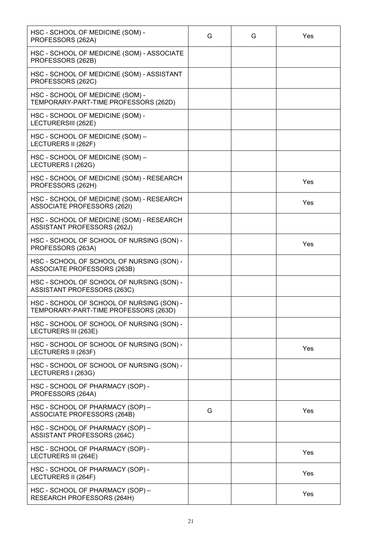| HSC - SCHOOL OF MEDICINE (SOM) -<br>PROFESSORS (262A)                              | G | G | Yes |
|------------------------------------------------------------------------------------|---|---|-----|
| HSC - SCHOOL OF MEDICINE (SOM) - ASSOCIATE<br>PROFESSORS (262B)                    |   |   |     |
| HSC - SCHOOL OF MEDICINE (SOM) - ASSISTANT<br>PROFESSORS (262C)                    |   |   |     |
| HSC - SCHOOL OF MEDICINE (SOM) -<br>TEMPORARY-PART-TIME PROFESSORS (262D)          |   |   |     |
| HSC - SCHOOL OF MEDICINE (SOM) -<br>LECTURERSIII (262E)                            |   |   |     |
| HSC - SCHOOL OF MEDICINE (SOM) -<br>LECTURERS II (262F)                            |   |   |     |
| HSC - SCHOOL OF MEDICINE (SOM) -<br>LECTURERS I (262G)                             |   |   |     |
| HSC - SCHOOL OF MEDICINE (SOM) - RESEARCH<br>PROFESSORS (262H)                     |   |   | Yes |
| HSC - SCHOOL OF MEDICINE (SOM) - RESEARCH<br><b>ASSOCIATE PROFESSORS (262I)</b>    |   |   | Yes |
| HSC - SCHOOL OF MEDICINE (SOM) - RESEARCH<br>ASSISTANT PROFESSORS (262J)           |   |   |     |
| HSC - SCHOOL OF SCHOOL OF NURSING (SON) -<br>PROFESSORS (263A)                     |   |   | Yes |
| HSC - SCHOOL OF SCHOOL OF NURSING (SON) -<br>ASSOCIATE PROFESSORS (263B)           |   |   |     |
| HSC - SCHOOL OF SCHOOL OF NURSING (SON) -<br>ASSISTANT PROFESSORS (263C)           |   |   |     |
| HSC - SCHOOL OF SCHOOL OF NURSING (SON) -<br>TEMPORARY-PART-TIME PROFESSORS (263D) |   |   |     |
| HSC - SCHOOL OF SCHOOL OF NURSING (SON) -<br>LECTURERS III (263E)                  |   |   |     |
| HSC - SCHOOL OF SCHOOL OF NURSING (SON) -<br>LECTURERS II (263F)                   |   |   | Yes |
| HSC - SCHOOL OF SCHOOL OF NURSING (SON) -<br>LECTURERS I (263G)                    |   |   |     |
| HSC - SCHOOL OF PHARMACY (SOP) -<br>PROFESSORS (264A)                              |   |   |     |
| HSC - SCHOOL OF PHARMACY (SOP) -<br>ASSOCIATE PROFESSORS (264B)                    | G |   | Yes |
| HSC - SCHOOL OF PHARMACY (SOP) -<br>ASSISTANT PROFESSORS (264C)                    |   |   |     |
| HSC - SCHOOL OF PHARMACY (SOP) -<br>LECTURERS III (264E)                           |   |   | Yes |
| HSC - SCHOOL OF PHARMACY (SOP) -<br>LECTURERS II (264F)                            |   |   | Yes |
| HSC - SCHOOL OF PHARMACY (SOP) -<br>RESEARCH PROFESSORS (264H)                     |   |   | Yes |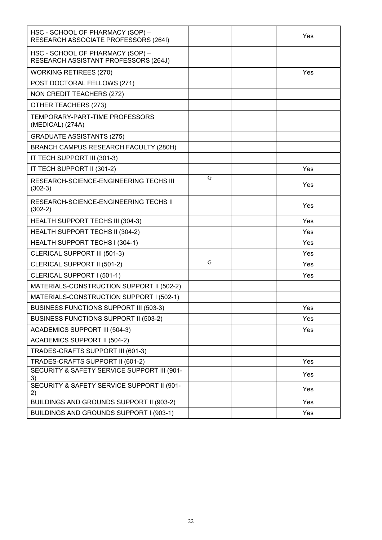| HSC - SCHOOL OF PHARMACY (SOP) -<br>RESEARCH ASSOCIATE PROFESSORS (264I) |   | Yes |
|--------------------------------------------------------------------------|---|-----|
| HSC - SCHOOL OF PHARMACY (SOP) -<br>RESEARCH ASSISTANT PROFESSORS (264J) |   |     |
| <b>WORKING RETIREES (270)</b>                                            |   | Yes |
| POST DOCTORAL FELLOWS (271)                                              |   |     |
| <b>NON CREDIT TEACHERS (272)</b>                                         |   |     |
| OTHER TEACHERS (273)                                                     |   |     |
| TEMPORARY-PART-TIME PROFESSORS<br>(MEDICAL) (274A)                       |   |     |
| <b>GRADUATE ASSISTANTS (275)</b>                                         |   |     |
| BRANCH CAMPUS RESEARCH FACULTY (280H)                                    |   |     |
| IT TECH SUPPORT III (301-3)                                              |   |     |
| IT TECH SUPPORT II (301-2)                                               |   | Yes |
| RESEARCH-SCIENCE-ENGINEERING TECHS III<br>$(302-3)$                      | G | Yes |
| RESEARCH-SCIENCE-ENGINEERING TECHS II<br>$(302-2)$                       |   | Yes |
| HEALTH SUPPORT TECHS III (304-3)                                         |   | Yes |
| HEALTH SUPPORT TECHS II (304-2)                                          |   | Yes |
| HEALTH SUPPORT TECHS I (304-1)                                           |   | Yes |
| <b>CLERICAL SUPPORT III (501-3)</b>                                      |   | Yes |
| CLERICAL SUPPORT II (501-2)                                              | G | Yes |
| CLERICAL SUPPORT I (501-1)                                               |   | Yes |
| MATERIALS-CONSTRUCTION SUPPORT II (502-2)                                |   |     |
| MATERIALS-CONSTRUCTION SUPPORT I (502-1)                                 |   |     |
| <b>BUSINESS FUNCTIONS SUPPORT III (503-3)</b>                            |   | Yes |
| <b>BUSINESS FUNCTIONS SUPPORT II (503-2)</b>                             |   | Yes |
| <b>ACADEMICS SUPPORT III (504-3)</b>                                     |   | Yes |
| <b>ACADEMICS SUPPORT II (504-2)</b>                                      |   |     |
| TRADES-CRAFTS SUPPORT III (601-3)                                        |   |     |
| TRADES-CRAFTS SUPPORT II (601-2)                                         |   | Yes |
| SECURITY & SAFETY SERVICE SUPPORT III (901-<br>3)                        |   | Yes |
| SECURITY & SAFETY SERVICE SUPPORT II (901-<br>2)                         |   | Yes |
| BUILDINGS AND GROUNDS SUPPORT II (903-2)                                 |   | Yes |
| BUILDINGS AND GROUNDS SUPPORT I (903-1)                                  |   | Yes |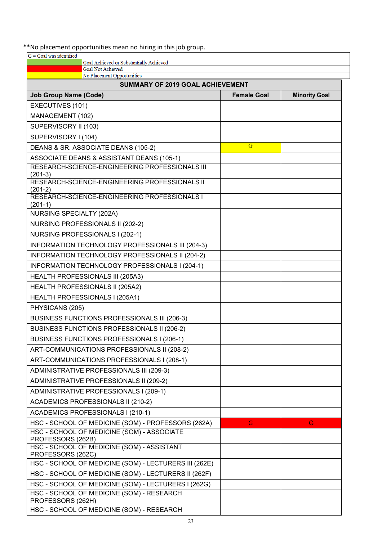### \*\*No placement opportunities mean no hiring in this job group.

| $G =$ Goal was identified                                           |                    |                      |
|---------------------------------------------------------------------|--------------------|----------------------|
| Goal Achieved or Substantially Achieved<br><b>Goal Not Achieved</b> |                    |                      |
| No Placement Opportunities                                          |                    |                      |
| <b>SUMMARY OF 2019 GOAL ACHIEVEMENT</b>                             |                    |                      |
| <b>Job Group Name (Code)</b>                                        | <b>Female Goal</b> | <b>Minority Goal</b> |
| EXECUTIVES (101)                                                    |                    |                      |
| MANAGEMENT (102)                                                    |                    |                      |
| SUPERVISORY II (103)                                                |                    |                      |
| SUPERVISORY I (104)                                                 |                    |                      |
| DEANS & SR. ASSOCIATE DEANS (105-2)                                 | G                  |                      |
| ASSOCIATE DEANS & ASSISTANT DEANS (105-1)                           |                    |                      |
| RESEARCH-SCIENCE-ENGINEERING PROFESSIONALS III<br>$(201-3)$         |                    |                      |
| RESEARCH-SCIENCE-ENGINEERING PROFESSIONALS II                       |                    |                      |
| $(201-2)$<br>RESEARCH-SCIENCE-ENGINEERING PROFESSIONALS I           |                    |                      |
| $(201-1)$<br>NURSING SPECIALTY (202A)                               |                    |                      |
| NURSING PROFESSIONALS II (202-2)                                    |                    |                      |
| NURSING PROFESSIONALS I (202-1)                                     |                    |                      |
|                                                                     |                    |                      |
| INFORMATION TECHNOLOGY PROFESSIONALS III (204-3)                    |                    |                      |
| INFORMATION TECHNOLOGY PROFESSIONALS II (204-2)                     |                    |                      |
| INFORMATION TECHNOLOGY PROFESSIONALS I (204-1)                      |                    |                      |
| HEALTH PROFESSIONALS III (205A3)                                    |                    |                      |
| HEALTH PROFESSIONALS II (205A2)                                     |                    |                      |
| HEALTH PROFESSIONALS I (205A1)                                      |                    |                      |
| PHYSICANS (205)                                                     |                    |                      |
| <b>BUSINESS FUNCTIONS PROFESSIONALS III (206-3)</b>                 |                    |                      |
| <b>BUSINESS FUNCTIONS PROFESSIONALS II (206-2)</b>                  |                    |                      |
| BUSINESS FUNCTIONS PROFESSIONALS I (206-1)                          |                    |                      |
| ART-COMMUNICATIONS PROFESSIONALS II (208-2)                         |                    |                      |
| ART-COMMUNICATIONS PROFESSIONALS I (208-1)                          |                    |                      |
| ADMINISTRATIVE PROFESSIONALS III (209-3)                            |                    |                      |
| ADMINISTRATIVE PROFESSIONALS II (209-2)                             |                    |                      |
| ADMINISTRATIVE PROFESSIONALS I (209-1)                              |                    |                      |
| <b>ACADEMICS PROFESSIONALS II (210-2)</b>                           |                    |                      |
| ACADEMICS PROFESSIONALS I (210-1)                                   |                    |                      |
| HSC - SCHOOL OF MEDICINE (SOM) - PROFESSORS (262A)                  | G                  | G                    |
| HSC - SCHOOL OF MEDICINE (SOM) - ASSOCIATE<br>PROFESSORS (262B)     |                    |                      |
| HSC - SCHOOL OF MEDICINE (SOM) - ASSISTANT<br>PROFESSORS (262C)     |                    |                      |
| HSC - SCHOOL OF MEDICINE (SOM) - LECTURERS III (262E)               |                    |                      |
| HSC - SCHOOL OF MEDICINE (SOM) - LECTURERS II (262F)                |                    |                      |
| HSC - SCHOOL OF MEDICINE (SOM) - LECTURERS I (262G)                 |                    |                      |
| HSC - SCHOOL OF MEDICINE (SOM) - RESEARCH<br>PROFESSORS (262H)      |                    |                      |
| HSC - SCHOOL OF MEDICINE (SOM) - RESEARCH                           |                    |                      |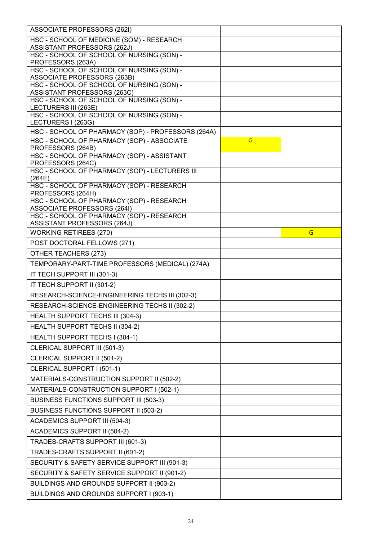| HSC - SCHOOL OF MEDICINE (SOM) - RESEARCH<br><b>ASSISTANT PROFESSORS (262J)</b><br>HSC - SCHOOL OF SCHOOL OF NURSING (SON) -<br>PROFESSORS (263A)<br>HSC - SCHOOL OF SCHOOL OF NURSING (SON) -<br><b>ASSOCIATE PROFESSORS (263B)</b><br>HSC - SCHOOL OF SCHOOL OF NURSING (SON) -<br>ASSISTANT PROFESSORS (263C)<br>HSC - SCHOOL OF SCHOOL OF NURSING (SON) -<br>LECTURERS III (263E)<br>HSC - SCHOOL OF SCHOOL OF NURSING (SON) -<br>LECTURERS I (263G)<br>HSC - SCHOOL OF PHARMACY (SOP) - PROFESSORS (264A)<br>HSC - SCHOOL OF PHARMACY (SOP) - ASSOCIATE<br>$\overline{G}$<br>PROFESSORS (264B)<br>HSC - SCHOOL OF PHARMACY (SOP) - ASSISTANT<br>PROFESSORS (264C)<br>HSC - SCHOOL OF PHARMACY (SOP) - LECTURERS III<br>(264E)<br>HSC - SCHOOL OF PHARMACY (SOP) - RESEARCH<br>PROFESSORS (264H)<br>HSC - SCHOOL OF PHARMACY (SOP) - RESEARCH<br><b>ASSOCIATE PROFESSORS (264I)</b><br>HSC - SCHOOL OF PHARMACY (SOP) - RESEARCH<br>ASSISTANT PROFESSORS (264J)<br><b>WORKING RETIREES (270)</b><br>G<br>POST DOCTORAL FELLOWS (271)<br>OTHER TEACHERS (273)<br>TEMPORARY-PART-TIME PROFESSORS (MEDICAL) (274A)<br>IT TECH SUPPORT III (301-3)<br>IT TECH SUPPORT II (301-2)<br>RESEARCH-SCIENCE-ENGINEERING TECHS III (302-3)<br>RESEARCH-SCIENCE-ENGINEERING TECHS II (302-2)<br>HEALTH SUPPORT TECHS III (304-3)<br>HEALTH SUPPORT TECHS II (304-2)<br>HEALTH SUPPORT TECHS I (304-1)<br>CLERICAL SUPPORT III (501-3)<br>CLERICAL SUPPORT II (501-2)<br>CLERICAL SUPPORT I (501-1)<br>MATERIALS-CONSTRUCTION SUPPORT II (502-2)<br>MATERIALS-CONSTRUCTION SUPPORT I (502-1)<br>BUSINESS FUNCTIONS SUPPORT III (503-3)<br>BUSINESS FUNCTIONS SUPPORT II (503-2)<br><b>ACADEMICS SUPPORT III (504-3)</b><br><b>ACADEMICS SUPPORT II (504-2)</b><br>TRADES-CRAFTS SUPPORT III (601-3)<br>TRADES-CRAFTS SUPPORT II (601-2)<br>SECURITY & SAFETY SERVICE SUPPORT III (901-3)<br>SECURITY & SAFETY SERVICE SUPPORT II (901-2)<br>BUILDINGS AND GROUNDS SUPPORT II (903-2) | ASSOCIATE PROFESSORS (262I)             |  |
|----------------------------------------------------------------------------------------------------------------------------------------------------------------------------------------------------------------------------------------------------------------------------------------------------------------------------------------------------------------------------------------------------------------------------------------------------------------------------------------------------------------------------------------------------------------------------------------------------------------------------------------------------------------------------------------------------------------------------------------------------------------------------------------------------------------------------------------------------------------------------------------------------------------------------------------------------------------------------------------------------------------------------------------------------------------------------------------------------------------------------------------------------------------------------------------------------------------------------------------------------------------------------------------------------------------------------------------------------------------------------------------------------------------------------------------------------------------------------------------------------------------------------------------------------------------------------------------------------------------------------------------------------------------------------------------------------------------------------------------------------------------------------------------------------------------------------------------------------------------------------------------------------------------------------------------------------------------------------|-----------------------------------------|--|
|                                                                                                                                                                                                                                                                                                                                                                                                                                                                                                                                                                                                                                                                                                                                                                                                                                                                                                                                                                                                                                                                                                                                                                                                                                                                                                                                                                                                                                                                                                                                                                                                                                                                                                                                                                                                                                                                                                                                                                            |                                         |  |
|                                                                                                                                                                                                                                                                                                                                                                                                                                                                                                                                                                                                                                                                                                                                                                                                                                                                                                                                                                                                                                                                                                                                                                                                                                                                                                                                                                                                                                                                                                                                                                                                                                                                                                                                                                                                                                                                                                                                                                            |                                         |  |
|                                                                                                                                                                                                                                                                                                                                                                                                                                                                                                                                                                                                                                                                                                                                                                                                                                                                                                                                                                                                                                                                                                                                                                                                                                                                                                                                                                                                                                                                                                                                                                                                                                                                                                                                                                                                                                                                                                                                                                            |                                         |  |
|                                                                                                                                                                                                                                                                                                                                                                                                                                                                                                                                                                                                                                                                                                                                                                                                                                                                                                                                                                                                                                                                                                                                                                                                                                                                                                                                                                                                                                                                                                                                                                                                                                                                                                                                                                                                                                                                                                                                                                            |                                         |  |
|                                                                                                                                                                                                                                                                                                                                                                                                                                                                                                                                                                                                                                                                                                                                                                                                                                                                                                                                                                                                                                                                                                                                                                                                                                                                                                                                                                                                                                                                                                                                                                                                                                                                                                                                                                                                                                                                                                                                                                            |                                         |  |
|                                                                                                                                                                                                                                                                                                                                                                                                                                                                                                                                                                                                                                                                                                                                                                                                                                                                                                                                                                                                                                                                                                                                                                                                                                                                                                                                                                                                                                                                                                                                                                                                                                                                                                                                                                                                                                                                                                                                                                            |                                         |  |
|                                                                                                                                                                                                                                                                                                                                                                                                                                                                                                                                                                                                                                                                                                                                                                                                                                                                                                                                                                                                                                                                                                                                                                                                                                                                                                                                                                                                                                                                                                                                                                                                                                                                                                                                                                                                                                                                                                                                                                            |                                         |  |
|                                                                                                                                                                                                                                                                                                                                                                                                                                                                                                                                                                                                                                                                                                                                                                                                                                                                                                                                                                                                                                                                                                                                                                                                                                                                                                                                                                                                                                                                                                                                                                                                                                                                                                                                                                                                                                                                                                                                                                            |                                         |  |
|                                                                                                                                                                                                                                                                                                                                                                                                                                                                                                                                                                                                                                                                                                                                                                                                                                                                                                                                                                                                                                                                                                                                                                                                                                                                                                                                                                                                                                                                                                                                                                                                                                                                                                                                                                                                                                                                                                                                                                            |                                         |  |
|                                                                                                                                                                                                                                                                                                                                                                                                                                                                                                                                                                                                                                                                                                                                                                                                                                                                                                                                                                                                                                                                                                                                                                                                                                                                                                                                                                                                                                                                                                                                                                                                                                                                                                                                                                                                                                                                                                                                                                            |                                         |  |
|                                                                                                                                                                                                                                                                                                                                                                                                                                                                                                                                                                                                                                                                                                                                                                                                                                                                                                                                                                                                                                                                                                                                                                                                                                                                                                                                                                                                                                                                                                                                                                                                                                                                                                                                                                                                                                                                                                                                                                            |                                         |  |
|                                                                                                                                                                                                                                                                                                                                                                                                                                                                                                                                                                                                                                                                                                                                                                                                                                                                                                                                                                                                                                                                                                                                                                                                                                                                                                                                                                                                                                                                                                                                                                                                                                                                                                                                                                                                                                                                                                                                                                            |                                         |  |
|                                                                                                                                                                                                                                                                                                                                                                                                                                                                                                                                                                                                                                                                                                                                                                                                                                                                                                                                                                                                                                                                                                                                                                                                                                                                                                                                                                                                                                                                                                                                                                                                                                                                                                                                                                                                                                                                                                                                                                            |                                         |  |
|                                                                                                                                                                                                                                                                                                                                                                                                                                                                                                                                                                                                                                                                                                                                                                                                                                                                                                                                                                                                                                                                                                                                                                                                                                                                                                                                                                                                                                                                                                                                                                                                                                                                                                                                                                                                                                                                                                                                                                            |                                         |  |
|                                                                                                                                                                                                                                                                                                                                                                                                                                                                                                                                                                                                                                                                                                                                                                                                                                                                                                                                                                                                                                                                                                                                                                                                                                                                                                                                                                                                                                                                                                                                                                                                                                                                                                                                                                                                                                                                                                                                                                            |                                         |  |
|                                                                                                                                                                                                                                                                                                                                                                                                                                                                                                                                                                                                                                                                                                                                                                                                                                                                                                                                                                                                                                                                                                                                                                                                                                                                                                                                                                                                                                                                                                                                                                                                                                                                                                                                                                                                                                                                                                                                                                            |                                         |  |
|                                                                                                                                                                                                                                                                                                                                                                                                                                                                                                                                                                                                                                                                                                                                                                                                                                                                                                                                                                                                                                                                                                                                                                                                                                                                                                                                                                                                                                                                                                                                                                                                                                                                                                                                                                                                                                                                                                                                                                            |                                         |  |
|                                                                                                                                                                                                                                                                                                                                                                                                                                                                                                                                                                                                                                                                                                                                                                                                                                                                                                                                                                                                                                                                                                                                                                                                                                                                                                                                                                                                                                                                                                                                                                                                                                                                                                                                                                                                                                                                                                                                                                            |                                         |  |
|                                                                                                                                                                                                                                                                                                                                                                                                                                                                                                                                                                                                                                                                                                                                                                                                                                                                                                                                                                                                                                                                                                                                                                                                                                                                                                                                                                                                                                                                                                                                                                                                                                                                                                                                                                                                                                                                                                                                                                            |                                         |  |
|                                                                                                                                                                                                                                                                                                                                                                                                                                                                                                                                                                                                                                                                                                                                                                                                                                                                                                                                                                                                                                                                                                                                                                                                                                                                                                                                                                                                                                                                                                                                                                                                                                                                                                                                                                                                                                                                                                                                                                            |                                         |  |
|                                                                                                                                                                                                                                                                                                                                                                                                                                                                                                                                                                                                                                                                                                                                                                                                                                                                                                                                                                                                                                                                                                                                                                                                                                                                                                                                                                                                                                                                                                                                                                                                                                                                                                                                                                                                                                                                                                                                                                            |                                         |  |
|                                                                                                                                                                                                                                                                                                                                                                                                                                                                                                                                                                                                                                                                                                                                                                                                                                                                                                                                                                                                                                                                                                                                                                                                                                                                                                                                                                                                                                                                                                                                                                                                                                                                                                                                                                                                                                                                                                                                                                            |                                         |  |
|                                                                                                                                                                                                                                                                                                                                                                                                                                                                                                                                                                                                                                                                                                                                                                                                                                                                                                                                                                                                                                                                                                                                                                                                                                                                                                                                                                                                                                                                                                                                                                                                                                                                                                                                                                                                                                                                                                                                                                            |                                         |  |
|                                                                                                                                                                                                                                                                                                                                                                                                                                                                                                                                                                                                                                                                                                                                                                                                                                                                                                                                                                                                                                                                                                                                                                                                                                                                                                                                                                                                                                                                                                                                                                                                                                                                                                                                                                                                                                                                                                                                                                            |                                         |  |
|                                                                                                                                                                                                                                                                                                                                                                                                                                                                                                                                                                                                                                                                                                                                                                                                                                                                                                                                                                                                                                                                                                                                                                                                                                                                                                                                                                                                                                                                                                                                                                                                                                                                                                                                                                                                                                                                                                                                                                            |                                         |  |
|                                                                                                                                                                                                                                                                                                                                                                                                                                                                                                                                                                                                                                                                                                                                                                                                                                                                                                                                                                                                                                                                                                                                                                                                                                                                                                                                                                                                                                                                                                                                                                                                                                                                                                                                                                                                                                                                                                                                                                            |                                         |  |
|                                                                                                                                                                                                                                                                                                                                                                                                                                                                                                                                                                                                                                                                                                                                                                                                                                                                                                                                                                                                                                                                                                                                                                                                                                                                                                                                                                                                                                                                                                                                                                                                                                                                                                                                                                                                                                                                                                                                                                            |                                         |  |
|                                                                                                                                                                                                                                                                                                                                                                                                                                                                                                                                                                                                                                                                                                                                                                                                                                                                                                                                                                                                                                                                                                                                                                                                                                                                                                                                                                                                                                                                                                                                                                                                                                                                                                                                                                                                                                                                                                                                                                            |                                         |  |
|                                                                                                                                                                                                                                                                                                                                                                                                                                                                                                                                                                                                                                                                                                                                                                                                                                                                                                                                                                                                                                                                                                                                                                                                                                                                                                                                                                                                                                                                                                                                                                                                                                                                                                                                                                                                                                                                                                                                                                            |                                         |  |
|                                                                                                                                                                                                                                                                                                                                                                                                                                                                                                                                                                                                                                                                                                                                                                                                                                                                                                                                                                                                                                                                                                                                                                                                                                                                                                                                                                                                                                                                                                                                                                                                                                                                                                                                                                                                                                                                                                                                                                            |                                         |  |
|                                                                                                                                                                                                                                                                                                                                                                                                                                                                                                                                                                                                                                                                                                                                                                                                                                                                                                                                                                                                                                                                                                                                                                                                                                                                                                                                                                                                                                                                                                                                                                                                                                                                                                                                                                                                                                                                                                                                                                            |                                         |  |
|                                                                                                                                                                                                                                                                                                                                                                                                                                                                                                                                                                                                                                                                                                                                                                                                                                                                                                                                                                                                                                                                                                                                                                                                                                                                                                                                                                                                                                                                                                                                                                                                                                                                                                                                                                                                                                                                                                                                                                            |                                         |  |
|                                                                                                                                                                                                                                                                                                                                                                                                                                                                                                                                                                                                                                                                                                                                                                                                                                                                                                                                                                                                                                                                                                                                                                                                                                                                                                                                                                                                                                                                                                                                                                                                                                                                                                                                                                                                                                                                                                                                                                            |                                         |  |
|                                                                                                                                                                                                                                                                                                                                                                                                                                                                                                                                                                                                                                                                                                                                                                                                                                                                                                                                                                                                                                                                                                                                                                                                                                                                                                                                                                                                                                                                                                                                                                                                                                                                                                                                                                                                                                                                                                                                                                            |                                         |  |
|                                                                                                                                                                                                                                                                                                                                                                                                                                                                                                                                                                                                                                                                                                                                                                                                                                                                                                                                                                                                                                                                                                                                                                                                                                                                                                                                                                                                                                                                                                                                                                                                                                                                                                                                                                                                                                                                                                                                                                            |                                         |  |
|                                                                                                                                                                                                                                                                                                                                                                                                                                                                                                                                                                                                                                                                                                                                                                                                                                                                                                                                                                                                                                                                                                                                                                                                                                                                                                                                                                                                                                                                                                                                                                                                                                                                                                                                                                                                                                                                                                                                                                            |                                         |  |
|                                                                                                                                                                                                                                                                                                                                                                                                                                                                                                                                                                                                                                                                                                                                                                                                                                                                                                                                                                                                                                                                                                                                                                                                                                                                                                                                                                                                                                                                                                                                                                                                                                                                                                                                                                                                                                                                                                                                                                            |                                         |  |
|                                                                                                                                                                                                                                                                                                                                                                                                                                                                                                                                                                                                                                                                                                                                                                                                                                                                                                                                                                                                                                                                                                                                                                                                                                                                                                                                                                                                                                                                                                                                                                                                                                                                                                                                                                                                                                                                                                                                                                            |                                         |  |
|                                                                                                                                                                                                                                                                                                                                                                                                                                                                                                                                                                                                                                                                                                                                                                                                                                                                                                                                                                                                                                                                                                                                                                                                                                                                                                                                                                                                                                                                                                                                                                                                                                                                                                                                                                                                                                                                                                                                                                            |                                         |  |
|                                                                                                                                                                                                                                                                                                                                                                                                                                                                                                                                                                                                                                                                                                                                                                                                                                                                                                                                                                                                                                                                                                                                                                                                                                                                                                                                                                                                                                                                                                                                                                                                                                                                                                                                                                                                                                                                                                                                                                            |                                         |  |
|                                                                                                                                                                                                                                                                                                                                                                                                                                                                                                                                                                                                                                                                                                                                                                                                                                                                                                                                                                                                                                                                                                                                                                                                                                                                                                                                                                                                                                                                                                                                                                                                                                                                                                                                                                                                                                                                                                                                                                            | BUILDINGS AND GROUNDS SUPPORT I (903-1) |  |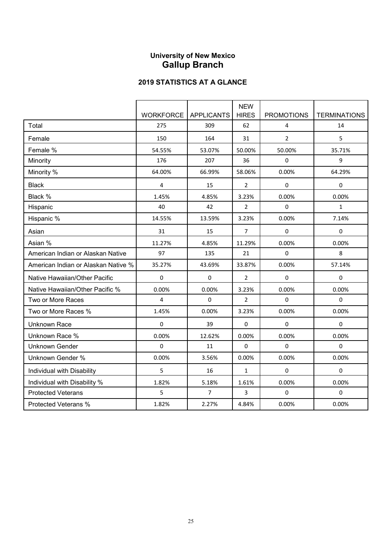# **University of New Mexico Gallup Branch**

|                                     |                        |                | <b>NEW</b>     |                   |                     |
|-------------------------------------|------------------------|----------------|----------------|-------------------|---------------------|
|                                     | WORKFORCE   APPLICANTS |                | <b>HIRES</b>   | <b>PROMOTIONS</b> | <b>TERMINATIONS</b> |
| Total                               | 275                    | 309            | 62             | $\overline{4}$    | 14                  |
| Female                              | 150                    | 164            | 31             | $\overline{2}$    | 5                   |
| Female %                            | 54.55%                 | 53.07%         | 50.00%         | 50.00%            | 35.71%              |
| Minority                            | 176                    | 207            | 36             | $\pmb{0}$         | 9                   |
| Minority %                          | 64.00%                 | 66.99%         | 58.06%         | 0.00%             | 64.29%              |
| <b>Black</b>                        | 4                      | 15             | $\overline{2}$ | 0                 | $\mathbf 0$         |
| Black %                             | 1.45%                  | 4.85%          | 3.23%          | 0.00%             | 0.00%               |
| Hispanic                            | 40                     | 42             | $\overline{2}$ | $\pmb{0}$         | $\mathbf{1}$        |
| Hispanic %                          | 14.55%                 | 13.59%         | 3.23%          | 0.00%             | 7.14%               |
| Asian                               | 31                     | 15             | 7              | 0                 | 0                   |
| Asian %                             | 11.27%                 | 4.85%          | 11.29%         | 0.00%             | 0.00%               |
| American Indian or Alaskan Native   | 97                     | 135            | 21             | $\mathbf 0$       | 8                   |
| American Indian or Alaskan Native % | 35.27%                 | 43.69%         | 33.87%         | 0.00%             | 57.14%              |
| Native Hawaiian/Other Pacific       | $\pmb{0}$              | $\Omega$       | $\overline{2}$ | $\mathbf 0$       | $\mathbf 0$         |
| Native Hawaiian/Other Pacific %     | 0.00%                  | 0.00%          | 3.23%          | 0.00%             | 0.00%               |
| Two or More Races                   | $\overline{4}$         | $\Omega$       | 2              | $\mathbf 0$       | $\Omega$            |
| Two or More Races %                 | 1.45%                  | 0.00%          | 3.23%          | 0.00%             | 0.00%               |
| <b>Unknown Race</b>                 | $\pmb{0}$              | 39             | 0              | $\pmb{0}$         | $\mathbf 0$         |
| Unknown Race %                      | 0.00%                  | 12.62%         | 0.00%          | 0.00%             | 0.00%               |
| <b>Unknown Gender</b>               | 0                      | 11             | 0              | $\pmb{0}$         | $\mathbf 0$         |
| <b>Unknown Gender %</b>             | 0.00%                  | 3.56%          | $0.00\%$       | 0.00%             | 0.00%               |
| Individual with Disability          | 5                      | 16             | $\mathbf{1}$   | 0                 | $\Omega$            |
| Individual with Disability %        | 1.82%                  | 5.18%          | 1.61%          | 0.00%             | 0.00%               |
| <b>Protected Veterans</b>           | 5                      | $\overline{7}$ | 3              | $\mathbf 0$       | $\mathbf 0$         |
| Protected Veterans %                | 1.82%                  | 2.27%          | 4.84%          | 0.00%             | 0.00%               |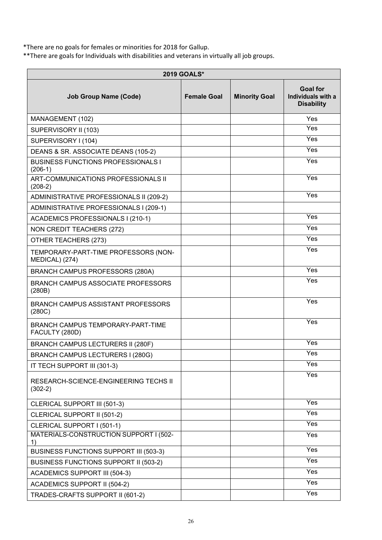\*There are no goals for females or minorities for 2018 for Gallup.

\*\*There are goals for Individuals with disabilities and veterans in virtually all job groups.

| 2019 GOALS*                                            |                    |                      |                                                            |
|--------------------------------------------------------|--------------------|----------------------|------------------------------------------------------------|
| <b>Job Group Name (Code)</b>                           | <b>Female Goal</b> | <b>Minority Goal</b> | <b>Goal for</b><br>Individuals with a<br><b>Disability</b> |
| MANAGEMENT (102)                                       |                    |                      | Yes                                                        |
| SUPERVISORY II (103)                                   |                    |                      | Yes                                                        |
| SUPERVISORY I (104)                                    |                    |                      | Yes                                                        |
| DEANS & SR. ASSOCIATE DEANS (105-2)                    |                    |                      | Yes                                                        |
| <b>BUSINESS FUNCTIONS PROFESSIONALS I</b><br>$(206-1)$ |                    |                      | Yes                                                        |
| ART-COMMUNICATIONS PROFESSIONALS II<br>$(208-2)$       |                    |                      | Yes                                                        |
| ADMINISTRATIVE PROFESSIONALS II (209-2)                |                    |                      | Yes                                                        |
| ADMINISTRATIVE PROFESSIONALS I (209-1)                 |                    |                      |                                                            |
| ACADEMICS PROFESSIONALS I (210-1)                      |                    |                      | Yes                                                        |
| <b>NON CREDIT TEACHERS (272)</b>                       |                    |                      | Yes                                                        |
| OTHER TEACHERS (273)                                   |                    |                      | Yes                                                        |
| TEMPORARY-PART-TIME PROFESSORS (NON-<br>MEDICAL) (274) |                    |                      | Yes                                                        |
| <b>BRANCH CAMPUS PROFESSORS (280A)</b>                 |                    |                      | Yes                                                        |
| <b>BRANCH CAMPUS ASSOCIATE PROFESSORS</b><br>(280B)    |                    |                      | Yes                                                        |
| <b>BRANCH CAMPUS ASSISTANT PROFESSORS</b><br>(280C)    |                    |                      | Yes                                                        |
| BRANCH CAMPUS TEMPORARY-PART-TIME<br>FACULTY (280D)    |                    |                      | Yes                                                        |
| BRANCH CAMPUS LECTURERS II (280F)                      |                    |                      | Yes                                                        |
| BRANCH CAMPUS LECTURERS I (280G)                       |                    |                      | Yes                                                        |
| IT TECH SUPPORT III (301-3)                            |                    |                      | Yes                                                        |
| RESEARCH-SCIENCE-ENGINEERING TECHS II<br>$(302-2)$     |                    |                      | Yes                                                        |
| <b>CLERICAL SUPPORT III (501-3)</b>                    |                    |                      | Yes                                                        |
| CLERICAL SUPPORT II (501-2)                            |                    |                      | Yes                                                        |
| CLERICAL SUPPORT I (501-1)                             |                    |                      | Yes                                                        |
| MATERIALS-CONSTRUCTION SUPPORT I (502-<br>1)           |                    |                      | Yes                                                        |
| BUSINESS FUNCTIONS SUPPORT III (503-3)                 |                    |                      | Yes                                                        |
| BUSINESS FUNCTIONS SUPPORT II (503-2)                  |                    |                      | Yes                                                        |
| <b>ACADEMICS SUPPORT III (504-3)</b>                   |                    |                      | Yes                                                        |
| <b>ACADEMICS SUPPORT II (504-2)</b>                    |                    |                      | Yes                                                        |
| TRADES-CRAFTS SUPPORT II (601-2)                       |                    |                      | Yes                                                        |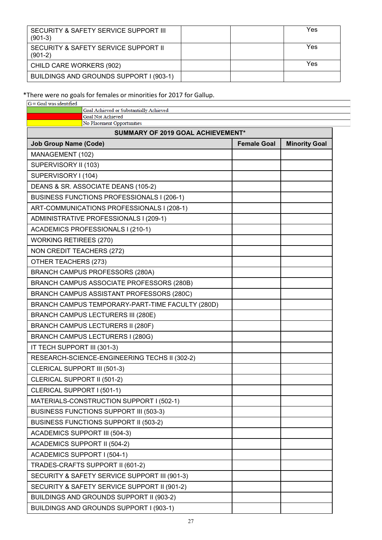| SECURITY & SAFETY SERVICE SUPPORT III<br>$(901-3)$ |  | Yes |
|----------------------------------------------------|--|-----|
| SECURITY & SAFETY SERVICE SUPPORT II<br>$(901-2)$  |  | Yes |
| CHILD CARE WORKERS (902)                           |  | Yes |
| BUILDINGS AND GROUNDS SUPPORT I (903-1)            |  |     |

### \*There were no goals for females or minorities for 2017 for Gallup.

| $G =$ Goal was identified                                           |                    |                      |
|---------------------------------------------------------------------|--------------------|----------------------|
| Goal Achieved or Substantially Achieved<br><b>Goal Not Achieved</b> |                    |                      |
| No Placement Opportunities                                          |                    |                      |
| <b>SUMMARY OF 2019 GOAL ACHIEVEMENT*</b>                            |                    |                      |
| <b>Job Group Name (Code)</b>                                        | <b>Female Goal</b> | <b>Minority Goal</b> |
| MANAGEMENT (102)                                                    |                    |                      |
| SUPERVISORY II (103)                                                |                    |                      |
| SUPERVISORY I (104)                                                 |                    |                      |
| DEANS & SR. ASSOCIATE DEANS (105-2)                                 |                    |                      |
| BUSINESS FUNCTIONS PROFESSIONALS I (206-1)                          |                    |                      |
| ART-COMMUNICATIONS PROFESSIONALS I (208-1)                          |                    |                      |
| ADMINISTRATIVE PROFESSIONALS I (209-1)                              |                    |                      |
| ACADEMICS PROFESSIONALS I (210-1)                                   |                    |                      |
| <b>WORKING RETIREES (270)</b>                                       |                    |                      |
| NON CREDIT TEACHERS (272)                                           |                    |                      |
| OTHER TEACHERS (273)                                                |                    |                      |
| <b>BRANCH CAMPUS PROFESSORS (280A)</b>                              |                    |                      |
| BRANCH CAMPUS ASSOCIATE PROFESSORS (280B)                           |                    |                      |
| BRANCH CAMPUS ASSISTANT PROFESSORS (280C)                           |                    |                      |
| BRANCH CAMPUS TEMPORARY-PART-TIME FACULTY (280D)                    |                    |                      |
| <b>BRANCH CAMPUS LECTURERS III (280E)</b>                           |                    |                      |
| <b>BRANCH CAMPUS LECTURERS II (280F)</b>                            |                    |                      |
| BRANCH CAMPUS LECTURERS I (280G)                                    |                    |                      |
| IT TECH SUPPORT III (301-3)                                         |                    |                      |
| RESEARCH-SCIENCE-ENGINEERING TECHS II (302-2)                       |                    |                      |
| CLERICAL SUPPORT III (501-3)                                        |                    |                      |
| CLERICAL SUPPORT II (501-2)                                         |                    |                      |
| CLERICAL SUPPORT I (501-1)                                          |                    |                      |
| MATERIALS-CONSTRUCTION SUPPORT I (502-1)                            |                    |                      |
| <b>BUSINESS FUNCTIONS SUPPORT III (503-3)</b>                       |                    |                      |
| <b>BUSINESS FUNCTIONS SUPPORT II (503-2)</b>                        |                    |                      |
| <b>ACADEMICS SUPPORT III (504-3)</b>                                |                    |                      |
| <b>ACADEMICS SUPPORT II (504-2)</b>                                 |                    |                      |
| <b>ACADEMICS SUPPORT I (504-1)</b>                                  |                    |                      |
| TRADES-CRAFTS SUPPORT II (601-2)                                    |                    |                      |
| SECURITY & SAFETY SERVICE SUPPORT III (901-3)                       |                    |                      |
| SECURITY & SAFETY SERVICE SUPPORT II (901-2)                        |                    |                      |
| BUILDINGS AND GROUNDS SUPPORT II (903-2)                            |                    |                      |
| BUILDINGS AND GROUNDS SUPPORT I (903-1)                             |                    |                      |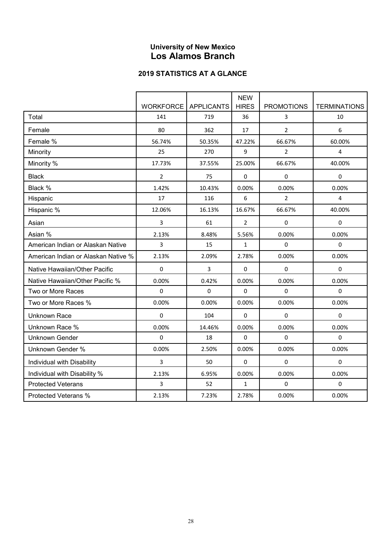# **University of New Mexico Los Alamos Branch**

|                                     |                              |              | <b>NEW</b>     |                   |                     |
|-------------------------------------|------------------------------|--------------|----------------|-------------------|---------------------|
|                                     | <b>WORKFORCE LAPPLICANTS</b> |              | <b>HIRES</b>   | <b>PROMOTIONS</b> | <b>TERMINATIONS</b> |
| Total                               | 141                          | 719          | 36             | 3                 | 10                  |
| Female                              | 80                           | 362          | 17             | $\overline{2}$    | 6                   |
| Female %                            | 56.74%                       | 50.35%       | 47.22%         | 66.67%            | 60.00%              |
| Minority                            | 25                           | 270          | 9              | $\overline{2}$    | 4                   |
| Minority %                          | 17.73%                       | 37.55%       | 25.00%         | 66.67%            | 40.00%              |
| <b>Black</b>                        | $\overline{2}$               | 75           | 0              | 0                 | $\mathbf 0$         |
| Black %                             | 1.42%                        | 10.43%       | 0.00%          | 0.00%             | 0.00%               |
| Hispanic                            | 17                           | 116          | 6              | $\overline{2}$    | $\overline{4}$      |
| Hispanic %                          | 12.06%                       | 16.13%       | 16.67%         | 66.67%            | 40.00%              |
| Asian                               | 3                            | 61           | $\overline{2}$ | 0                 | 0                   |
| Asian %                             | 2.13%                        | 8.48%        | 5.56%          | 0.00%             | 0.00%               |
| American Indian or Alaskan Native   | 3                            | 15           | $\mathbf{1}$   | $\pmb{0}$         | $\Omega$            |
| American Indian or Alaskan Native % | 2.13%                        | 2.09%        | 2.78%          | 0.00%             | 0.00%               |
| Native Hawaiian/Other Pacific       | 0                            | $\mathsf{3}$ | 0              | 0                 | 0                   |
| Native Hawaiian/Other Pacific %     | 0.00%                        | 0.42%        | 0.00%          | 0.00%             | 0.00%               |
| Two or More Races                   | 0                            | $\mathbf 0$  | 0              | $\pmb{0}$         | $\mathbf 0$         |
| Two or More Races %                 | 0.00%                        | 0.00%        | 0.00%          | 0.00%             | 0.00%               |
| <b>Unknown Race</b>                 | $\Omega$                     | 104          | $\Omega$       | $\Omega$          | $\Omega$            |
| Unknown Race %                      | 0.00%                        | 14.46%       | 0.00%          | 0.00%             | 0.00%               |
| <b>Unknown Gender</b>               | $\Omega$                     | 18           | $\Omega$       | $\Omega$          | $\Omega$            |
| <b>Unknown Gender %</b>             | 0.00%                        | 2.50%        | 0.00%          | 0.00%             | 0.00%               |
| Individual with Disability          | 3                            | 50           | 0              | 0                 | 0                   |
| Individual with Disability %        | 2.13%                        | 6.95%        | 0.00%          | 0.00%             | 0.00%               |
| <b>Protected Veterans</b>           | 3                            | 52           | $\mathbf{1}$   | $\mathbf 0$       | $\mathbf 0$         |
| <b>Protected Veterans %</b>         | 2.13%                        | 7.23%        | 2.78%          | 0.00%             | 0.00%               |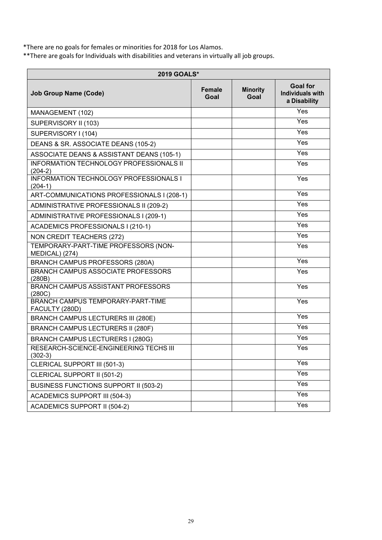\*There are no goals for females or minorities for 2018 for Los Alamos.

\*\*There are goals for Individuals with disabilities and veterans in virtually all job groups.

| <b>2019 GOALS*</b>                                          |                |                         |                                                            |  |  |
|-------------------------------------------------------------|----------------|-------------------------|------------------------------------------------------------|--|--|
| <b>Job Group Name (Code)</b>                                | Female<br>Goal | <b>Minority</b><br>Goal | <b>Goal for</b><br><b>Individuals with</b><br>a Disability |  |  |
| MANAGEMENT (102)                                            |                |                         | Yes                                                        |  |  |
| SUPERVISORY II (103)                                        |                |                         | Yes                                                        |  |  |
| SUPERVISORY I (104)                                         |                |                         | Yes                                                        |  |  |
| DEANS & SR. ASSOCIATE DEANS (105-2)                         |                |                         | Yes                                                        |  |  |
| ASSOCIATE DEANS & ASSISTANT DEANS (105-1)                   |                |                         | Yes                                                        |  |  |
| <b>INFORMATION TECHNOLOGY PROFESSIONALS II</b><br>$(204-2)$ |                |                         | Yes                                                        |  |  |
| <b>INFORMATION TECHNOLOGY PROFESSIONALS I</b><br>$(204-1)$  |                |                         | Yes                                                        |  |  |
| ART-COMMUNICATIONS PROFESSIONALS I (208-1)                  |                |                         | Yes                                                        |  |  |
| ADMINISTRATIVE PROFESSIONALS II (209-2)                     |                |                         | $\bar{Y}$ es                                               |  |  |
| ADMINISTRATIVE PROFESSIONALS I (209-1)                      |                |                         | $\overline{Yes}$                                           |  |  |
| ACADEMICS PROFESSIONALS I (210-1)                           |                |                         | Yes                                                        |  |  |
| NON CREDIT TEACHERS (272)                                   |                |                         | Yes                                                        |  |  |
| TEMPORARY-PART-TIME PROFESSORS (NON-<br>MEDICAL) (274)      |                |                         | Yes                                                        |  |  |
| <b>BRANCH CAMPUS PROFESSORS (280A)</b>                      |                |                         | Yes                                                        |  |  |
| <b>BRANCH CAMPUS ASSOCIATE PROFESSORS</b><br>(280B)         |                |                         | Yes                                                        |  |  |
| BRANCH CAMPUS ASSISTANT PROFESSORS<br>(280C)                |                |                         | Yes                                                        |  |  |
| BRANCH CAMPUS TEMPORARY-PART-TIME<br>FACULTY (280D)         |                |                         | Yes                                                        |  |  |
| <b>BRANCH CAMPUS LECTURERS III (280E)</b>                   |                |                         | $\overline{Y}$ es                                          |  |  |
| <b>BRANCH CAMPUS LECTURERS II (280F)</b>                    |                |                         | $\overline{Yes}$                                           |  |  |
| <b>BRANCH CAMPUS LECTURERS I (280G)</b>                     |                |                         | Yes                                                        |  |  |
| RESEARCH-SCIENCE-ENGINEERING TECHS III<br>302-3)            |                |                         | Yes                                                        |  |  |
| CLERICAL SUPPORT III (501-3)                                |                |                         | Yes                                                        |  |  |
| CLERICAL SUPPORT II (501-2)                                 |                |                         | Yes                                                        |  |  |
| <b>BUSINESS FUNCTIONS SUPPORT II (503-2)</b>                |                |                         | Yes                                                        |  |  |
| <b>ACADEMICS SUPPORT III (504-3)</b>                        |                |                         | Yes                                                        |  |  |
| <b>ACADEMICS SUPPORT II (504-2)</b>                         |                |                         | Yes                                                        |  |  |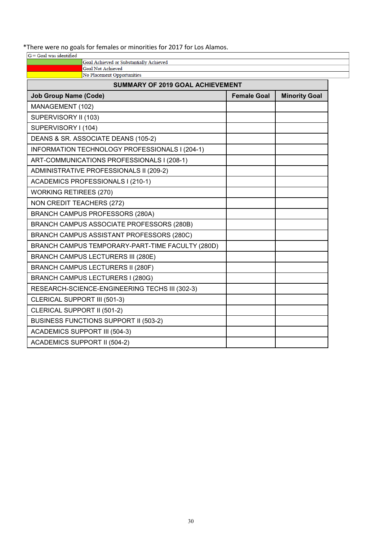### \*There were no goals for females or minorities for 2017 for Los Alamos.

| THETE WELE TID goals for Terriales of Thillorities for 2017 for Los Alamos.<br>$G =$ Goal was identified |                    |                      |
|----------------------------------------------------------------------------------------------------------|--------------------|----------------------|
| Goal Achieved or Substantially Achieved                                                                  |                    |                      |
| <b>Goal Not Achieved</b><br>No Placement Opportunities                                                   |                    |                      |
| <b>SUMMARY OF 2019 GOAL ACHIEVEMENT</b>                                                                  |                    |                      |
| <b>Job Group Name (Code)</b>                                                                             | <b>Female Goal</b> | <b>Minority Goal</b> |
| MANAGEMENT (102)                                                                                         |                    |                      |
| SUPERVISORY II (103)                                                                                     |                    |                      |
| SUPERVISORY I (104)                                                                                      |                    |                      |
| DEANS & SR. ASSOCIATE DEANS (105-2)                                                                      |                    |                      |
| INFORMATION TECHNOLOGY PROFESSIONALS I (204-1)                                                           |                    |                      |
| ART-COMMUNICATIONS PROFESSIONALS I (208-1)                                                               |                    |                      |
| ADMINISTRATIVE PROFESSIONALS II (209-2)                                                                  |                    |                      |
| ACADEMICS PROFESSIONALS I (210-1)                                                                        |                    |                      |
| <b>WORKING RETIREES (270)</b>                                                                            |                    |                      |
| <b>NON CREDIT TEACHERS (272)</b>                                                                         |                    |                      |
| <b>BRANCH CAMPUS PROFESSORS (280A)</b>                                                                   |                    |                      |
| BRANCH CAMPUS ASSOCIATE PROFESSORS (280B)                                                                |                    |                      |
| BRANCH CAMPUS ASSISTANT PROFESSORS (280C)                                                                |                    |                      |
| BRANCH CAMPUS TEMPORARY-PART-TIME FACULTY (280D)                                                         |                    |                      |
| <b>BRANCH CAMPUS LECTURERS III (280E)</b>                                                                |                    |                      |
| <b>BRANCH CAMPUS LECTURERS II (280F)</b>                                                                 |                    |                      |
| <b>BRANCH CAMPUS LECTURERS I (280G)</b>                                                                  |                    |                      |
| RESEARCH-SCIENCE-ENGINEERING TECHS III (302-3)                                                           |                    |                      |
| CLERICAL SUPPORT III (501-3)                                                                             |                    |                      |
| CLERICAL SUPPORT II (501-2)                                                                              |                    |                      |
| <b>BUSINESS FUNCTIONS SUPPORT II (503-2)</b>                                                             |                    |                      |
| <b>ACADEMICS SUPPORT III (504-3)</b>                                                                     |                    |                      |
| <b>ACADEMICS SUPPORT II (504-2)</b>                                                                      |                    |                      |
|                                                                                                          |                    |                      |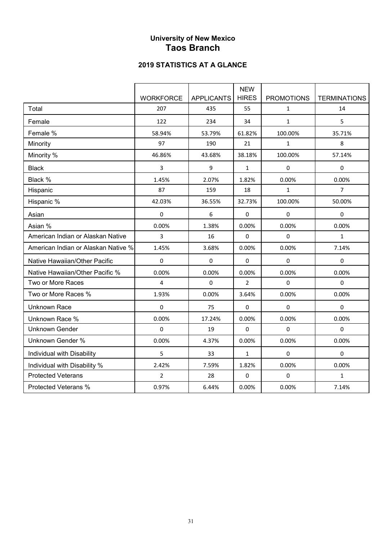### **University of New Mexico Taos Branch**

|                                     |                  |                   | <b>NEW</b>   |                   |                     |
|-------------------------------------|------------------|-------------------|--------------|-------------------|---------------------|
|                                     | <b>WORKFORCE</b> | <b>APPLICANTS</b> | <b>HIRES</b> | <b>PROMOTIONS</b> | <b>TERMINATIONS</b> |
| Total                               | 207              | 435               | 55           | $\mathbf{1}$      | 14                  |
| Female                              | 122              | 234               | 34           | $\mathbf{1}$      | 5                   |
| Female %                            | 58.94%           | 53.79%            | 61.82%       | 100.00%           | 35.71%              |
| Minority                            | 97               | 190               | 21           | $\mathbf{1}$      | 8                   |
| Minority %                          | 46.86%           | 43.68%            | 38.18%       | 100.00%           | 57.14%              |
| <b>Black</b>                        | 3                | 9                 | $\mathbf{1}$ | $\pmb{0}$         | $\pmb{0}$           |
| Black %                             | 1.45%            | 2.07%             | 1.82%        | 0.00%             | 0.00%               |
| Hispanic                            | 87               | 159               | 18           | $\mathbf{1}$      | $\overline{7}$      |
| Hispanic %                          | 42.03%           | 36.55%            | 32.73%       | 100.00%           | 50.00%              |
| Asian                               | $\mathbf 0$      | 6                 | 0            | $\pmb{0}$         | $\pmb{0}$           |
| Asian %                             | 0.00%            | 1.38%             | 0.00%        | 0.00%             | 0.00%               |
| American Indian or Alaskan Native   | 3                | 16                | $\pmb{0}$    | $\mathbf 0$       | $\mathbf{1}$        |
| American Indian or Alaskan Native % | 1.45%            | 3.68%             | 0.00%        | 0.00%             | 7.14%               |
| Native Hawaiian/Other Pacific       | $\pmb{0}$        | 0                 | $\pmb{0}$    | $\mathbf 0$       | $\pmb{0}$           |
| Native Hawaiian/Other Pacific %     | 0.00%            | 0.00%             | 0.00%        | 0.00%             | 0.00%               |
| Two or More Races                   | 4                | 0                 | 2            | $\pmb{0}$         | $\mathbf 0$         |
| Two or More Races %                 | 1.93%            | 0.00%             | 3.64%        | 0.00%             | 0.00%               |
| <b>Unknown Race</b>                 | $\Omega$         | 75                | 0            | $\mathbf 0$       | $\Omega$            |
| Unknown Race %                      | 0.00%            | 17.24%            | 0.00%        | 0.00%             | 0.00%               |
| <b>Unknown Gender</b>               | $\mathbf 0$      | 19                | $\Omega$     | $\pmb{0}$         | $\mathbf 0$         |
| <b>Unknown Gender %</b>             | 0.00%            | 4.37%             | 0.00%        | 0.00%             | 0.00%               |
| Individual with Disability          | 5                | 33                | $\mathbf{1}$ | 0                 | $\Omega$            |
| Individual with Disability %        | 2.42%            | 7.59%             | 1.82%        | 0.00%             | 0.00%               |
| <b>Protected Veterans</b>           | $\overline{2}$   | 28                | $\pmb{0}$    | $\mathbf 0$       | $\mathbf{1}$        |
| Protected Veterans %                | 0.97%            | 6.44%             | 0.00%        | 0.00%             | 7.14%               |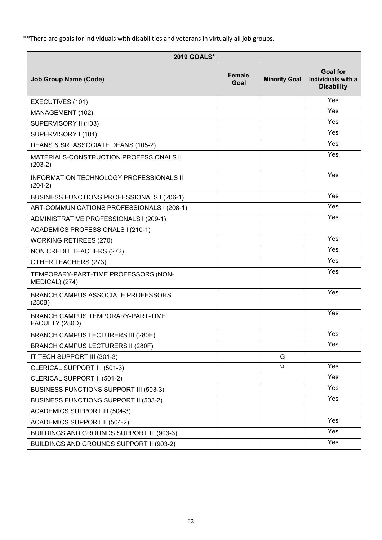\*\*There are goals for individuals with disabilities and veterans in virtually all job groups.

| <b>2019 GOALS*</b>                                     |                       |                      |                                                            |  |
|--------------------------------------------------------|-----------------------|----------------------|------------------------------------------------------------|--|
| <b>Job Group Name (Code)</b>                           | <b>Female</b><br>Goal | <b>Minority Goal</b> | <b>Goal for</b><br>Individuals with a<br><b>Disability</b> |  |
| EXECUTIVES (101)                                       |                       |                      | Yes                                                        |  |
| MANAGEMENT (102)                                       |                       |                      | Yes                                                        |  |
| SUPERVISORY II (103)                                   |                       |                      | Yes                                                        |  |
| SUPERVISORY I (104)                                    |                       |                      | Yes                                                        |  |
| DEANS & SR. ASSOCIATE DEANS (105-2)                    |                       |                      | $\bar{Y}$ es                                               |  |
| MATERIALS-CONSTRUCTION PROFESSIONALS II<br>$(203-2)$   |                       |                      | Yes                                                        |  |
| INFORMATION TECHNOLOGY PROFESSIONALS II<br>$(204-2)$   |                       |                      | Yes                                                        |  |
| BUSINESS FUNCTIONS PROFESSIONALS I (206-1)             |                       |                      | Yes                                                        |  |
| ART-COMMUNICATIONS PROFESSIONALS I (208-1)             |                       |                      | Yes                                                        |  |
| ADMINISTRATIVE PROFESSIONALS I (209-1)                 |                       |                      | Yes                                                        |  |
| ACADEMICS PROFESSIONALS I (210-1)                      |                       |                      |                                                            |  |
| <b>WORKING RETIREES (270)</b>                          |                       |                      | Yes                                                        |  |
| NON CREDIT TEACHERS (272)                              |                       |                      | Yes                                                        |  |
| OTHER TEACHERS (273)                                   |                       |                      | Yes                                                        |  |
| TEMPORARY-PART-TIME PROFESSORS (NON-<br>MEDICAL) (274) |                       |                      | Yes                                                        |  |
| <b>BRANCH CAMPUS ASSOCIATE PROFESSORS</b><br>(280B)    |                       |                      | Yes                                                        |  |
| BRANCH CAMPUS TEMPORARY-PART-TIME<br>FACULTY (280D)    |                       |                      | $\overline{Y}$ es                                          |  |
| <b>BRANCH CAMPUS LECTURERS III (280E)</b>              |                       |                      | Yes                                                        |  |
| <b>BRANCH CAMPUS LECTURERS II (280F)</b>               |                       |                      | Yes                                                        |  |
| IT TECH SUPPORT III (301-3)                            |                       | G                    |                                                            |  |
| CLERICAL SUPPORT III (501-3)                           |                       | G                    | Yes                                                        |  |
| CLERICAL SUPPORT II (501-2)                            |                       |                      | Yes                                                        |  |
| <b>BUSINESS FUNCTIONS SUPPORT III (503-3)</b>          |                       |                      | Yes                                                        |  |
| <b>BUSINESS FUNCTIONS SUPPORT II (503-2)</b>           |                       |                      | Yes                                                        |  |
| <b>ACADEMICS SUPPORT III (504-3)</b>                   |                       |                      |                                                            |  |
| <b>ACADEMICS SUPPORT II (504-2)</b>                    |                       |                      | Yes                                                        |  |
| BUILDINGS AND GROUNDS SUPPORT III (903-3)              |                       |                      | Yes                                                        |  |
| BUILDINGS AND GROUNDS SUPPORT II (903-2)               |                       |                      | Yes                                                        |  |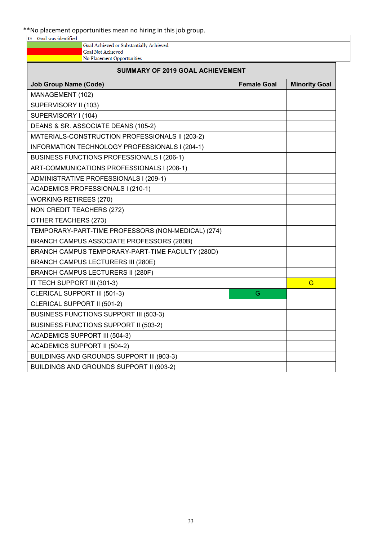# \*\*No placement opportunities mean no hiring in this job group.

| $G =$ Goal was identified |                                         |
|---------------------------|-----------------------------------------|
|                           | Goal Achieved or Substantially Achieved |
|                           | <b>Goal Not Achieved</b>                |
|                           | No Placement Opportunities              |

| <b>SUMMARY OF 2019 GOAL ACHIEVEMENT</b>            |                    |                      |  |  |  |
|----------------------------------------------------|--------------------|----------------------|--|--|--|
| <b>Job Group Name (Code)</b>                       | <b>Female Goal</b> | <b>Minority Goal</b> |  |  |  |
| MANAGEMENT (102)                                   |                    |                      |  |  |  |
| SUPERVISORY II (103)                               |                    |                      |  |  |  |
| SUPERVISORY I (104)                                |                    |                      |  |  |  |
| DEANS & SR. ASSOCIATE DEANS (105-2)                |                    |                      |  |  |  |
| MATERIALS-CONSTRUCTION PROFESSIONALS II (203-2)    |                    |                      |  |  |  |
| INFORMATION TECHNOLOGY PROFESSIONALS I (204-1)     |                    |                      |  |  |  |
| BUSINESS FUNCTIONS PROFESSIONALS I (206-1)         |                    |                      |  |  |  |
| ART-COMMUNICATIONS PROFESSIONALS I (208-1)         |                    |                      |  |  |  |
| ADMINISTRATIVE PROFESSIONALS I (209-1)             |                    |                      |  |  |  |
| ACADEMICS PROFESSIONALS I (210-1)                  |                    |                      |  |  |  |
| <b>WORKING RETIREES (270)</b>                      |                    |                      |  |  |  |
| <b>NON CREDIT TEACHERS (272)</b>                   |                    |                      |  |  |  |
| OTHER TEACHERS (273)                               |                    |                      |  |  |  |
| TEMPORARY-PART-TIME PROFESSORS (NON-MEDICAL) (274) |                    |                      |  |  |  |
| BRANCH CAMPUS ASSOCIATE PROFESSORS (280B)          |                    |                      |  |  |  |
| BRANCH CAMPUS TEMPORARY-PART-TIME FACULTY (280D)   |                    |                      |  |  |  |
| <b>BRANCH CAMPUS LECTURERS III (280E)</b>          |                    |                      |  |  |  |
| <b>BRANCH CAMPUS LECTURERS II (280F)</b>           |                    |                      |  |  |  |
| IT TECH SUPPORT III (301-3)                        |                    | G                    |  |  |  |
| CLERICAL SUPPORT III (501-3)                       | G                  |                      |  |  |  |
| CLERICAL SUPPORT II (501-2)                        |                    |                      |  |  |  |
| BUSINESS FUNCTIONS SUPPORT III (503-3)             |                    |                      |  |  |  |
| BUSINESS FUNCTIONS SUPPORT II (503-2)              |                    |                      |  |  |  |
| <b>ACADEMICS SUPPORT III (504-3)</b>               |                    |                      |  |  |  |
| <b>ACADEMICS SUPPORT II (504-2)</b>                |                    |                      |  |  |  |
| BUILDINGS AND GROUNDS SUPPORT III (903-3)          |                    |                      |  |  |  |
| BUILDINGS AND GROUNDS SUPPORT II (903-2)           |                    |                      |  |  |  |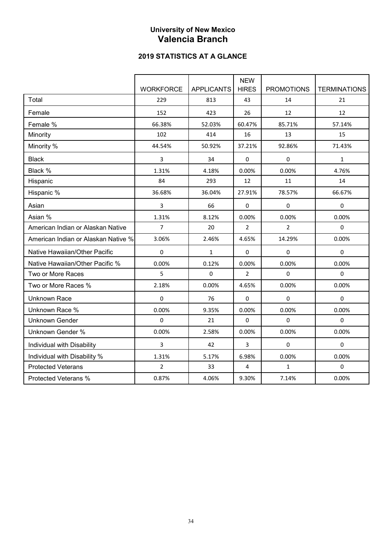# **University of New Mexico Valencia Branch**

|                                     |                  |                   | <b>NEW</b>              |                   |                     |
|-------------------------------------|------------------|-------------------|-------------------------|-------------------|---------------------|
|                                     | <b>WORKFORCE</b> | <b>APPLICANTS</b> | <b>HIRES</b>            | <b>PROMOTIONS</b> | <b>TERMINATIONS</b> |
| Total                               | 229              | 813               | 43                      | 14                | 21                  |
| Female                              | 152              | 423               | 26                      | 12                | 12                  |
| Female %                            | 66.38%           | 52.03%            | 60.47%                  | 85.71%            | 57.14%              |
| Minority                            | 102              | 414               | 16                      | 13                | 15                  |
| Minority %                          | 44.54%           | 50.92%            | 37.21%                  | 92.86%            | 71.43%              |
| <b>Black</b>                        | 3                | 34                | 0                       | 0                 | $\mathbf{1}$        |
| Black %                             | 1.31%            | 4.18%             | 0.00%                   | 0.00%             | 4.76%               |
| Hispanic                            | 84               | 293               | 12                      | 11                | 14                  |
| Hispanic %                          | 36.68%           | 36.04%            | 27.91%                  | 78.57%            | 66.67%              |
| Asian                               | 3                | 66                | $\mathbf{0}$            | 0                 | 0                   |
| Asian %                             | 1.31%            | 8.12%             | 0.00%                   | 0.00%             | 0.00%               |
| American Indian or Alaskan Native   | 7                | 20                | $\overline{2}$          | $\overline{2}$    | $\Omega$            |
| American Indian or Alaskan Native % | 3.06%            | 2.46%             | 4.65%                   | 14.29%            | 0.00%               |
| Native Hawaiian/Other Pacific       | 0                | $\mathbf{1}$      | $\Omega$                | 0                 | $\mathbf 0$         |
| Native Hawaiian/Other Pacific %     | 0.00%            | 0.12%             | 0.00%                   | 0.00%             | 0.00%               |
| Two or More Races                   | 5                | $\mathbf 0$       | $\overline{2}$          | 0                 | $\mathbf 0$         |
| Two or More Races %                 | 2.18%            | 0.00%             | 4.65%                   | 0.00%             | 0.00%               |
| <b>Unknown Race</b>                 | $\Omega$         | 76                | $\Omega$                | 0                 | $\Omega$            |
| Unknown Race %                      | 0.00%            | 9.35%             | 0.00%                   | 0.00%             | 0.00%               |
| <b>Unknown Gender</b>               | 0                | 21                | 0                       | 0                 | 0                   |
| Unknown Gender %                    | 0.00%            | 2.58%             | 0.00%                   | 0.00%             | 0.00%               |
| Individual with Disability          | 3                | 42                | 3                       | 0                 | $\Omega$            |
| Individual with Disability %        | 1.31%            | 5.17%             | 6.98%                   | 0.00%             | 0.00%               |
| <b>Protected Veterans</b>           | $\overline{2}$   | 33                | $\overline{\mathbf{4}}$ | $\mathbf{1}$      | $\mathbf 0$         |
| <b>Protected Veterans %</b>         | 0.87%            | 4.06%             | 9.30%                   | 7.14%             | 0.00%               |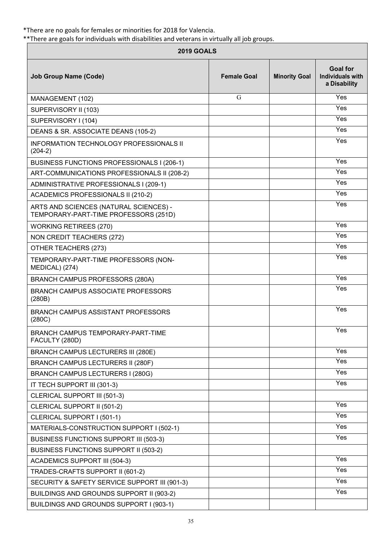\*There are no goals for females or minorities for 2018 for Valencia.

\*\*There are goals for individuals with disabilities and veterans in virtually all job groups.

| <b>2019 GOALS</b>                                                               |                    |                      |                                                            |  |  |
|---------------------------------------------------------------------------------|--------------------|----------------------|------------------------------------------------------------|--|--|
| <b>Job Group Name (Code)</b>                                                    | <b>Female Goal</b> | <b>Minority Goal</b> | <b>Goal for</b><br><b>Individuals with</b><br>a Disability |  |  |
| MANAGEMENT (102)                                                                | G                  |                      | Yes                                                        |  |  |
| SUPERVISORY II (103)                                                            |                    |                      | Yes                                                        |  |  |
| SUPERVISORY I (104)                                                             |                    |                      | Yes                                                        |  |  |
| DEANS & SR. ASSOCIATE DEANS (105-2)                                             |                    |                      | $\overline{Yes}$                                           |  |  |
| <b>INFORMATION TECHNOLOGY PROFESSIONALS II</b><br>$(204-2)$                     |                    |                      | Yes                                                        |  |  |
| BUSINESS FUNCTIONS PROFESSIONALS I (206-1)                                      |                    |                      | Yes                                                        |  |  |
| ART-COMMUNICATIONS PROFESSIONALS II (208-2)                                     |                    |                      | Yes                                                        |  |  |
| ADMINISTRATIVE PROFESSIONALS I (209-1)                                          |                    |                      | Yes                                                        |  |  |
| ACADEMICS PROFESSIONALS II (210-2)                                              |                    |                      | Yes                                                        |  |  |
| ARTS AND SCIENCES (NATURAL SCIENCES) -<br>TEMPORARY-PART-TIME PROFESSORS (251D) |                    |                      | Yes                                                        |  |  |
| <b>WORKING RETIREES (270)</b>                                                   |                    |                      | Yes                                                        |  |  |
| NON CREDIT TEACHERS (272)                                                       |                    |                      | $\bar{Y}$ es                                               |  |  |
| OTHER TEACHERS (273)                                                            |                    |                      | Yes                                                        |  |  |
| TEMPORARY-PART-TIME PROFESSORS (NON-<br>MEDICAL) (274)                          |                    |                      | Yes                                                        |  |  |
| <b>BRANCH CAMPUS PROFESSORS (280A)</b>                                          |                    |                      | Yes                                                        |  |  |
| BRANCH CAMPUS ASSOCIATE PROFESSORS<br>(280B)                                    |                    |                      | Yes                                                        |  |  |
| <b>BRANCH CAMPUS ASSISTANT PROFESSORS</b><br>(280C)                             |                    |                      | Yes                                                        |  |  |
| BRANCH CAMPUS TEMPORARY-PART-TIME<br>FACULTY (280D)                             |                    |                      | Yes                                                        |  |  |
| <b>BRANCH CAMPUS LECTURERS III (280E)</b>                                       |                    |                      | $\overline{Yes}$                                           |  |  |
| <b>BRANCH CAMPUS LECTURERS II (280F)</b>                                        |                    |                      | Yes                                                        |  |  |
| BRANCH CAMPUS LECTURERS I (280G)                                                |                    |                      | Yes                                                        |  |  |
| IT TECH SUPPORT III (301-3)                                                     |                    |                      | Yes                                                        |  |  |
| CLERICAL SUPPORT III (501-3)                                                    |                    |                      |                                                            |  |  |
| CLERICAL SUPPORT II (501-2)                                                     |                    |                      | Yes                                                        |  |  |
| CLERICAL SUPPORT I (501-1)                                                      |                    |                      | Yes                                                        |  |  |
| MATERIALS-CONSTRUCTION SUPPORT I (502-1)                                        |                    |                      | Yes                                                        |  |  |
| BUSINESS FUNCTIONS SUPPORT III (503-3)                                          |                    |                      | Yes                                                        |  |  |
| BUSINESS FUNCTIONS SUPPORT II (503-2)                                           |                    |                      |                                                            |  |  |
| <b>ACADEMICS SUPPORT III (504-3)</b>                                            |                    |                      | Yes                                                        |  |  |
| TRADES-CRAFTS SUPPORT II (601-2)                                                |                    |                      | $\overline{Yes}$                                           |  |  |
| SECURITY & SAFETY SERVICE SUPPORT III (901-3)                                   |                    |                      | Yes                                                        |  |  |
| BUILDINGS AND GROUNDS SUPPORT II (903-2)                                        |                    |                      | Yes                                                        |  |  |
| BUILDINGS AND GROUNDS SUPPORT I (903-1)                                         |                    |                      |                                                            |  |  |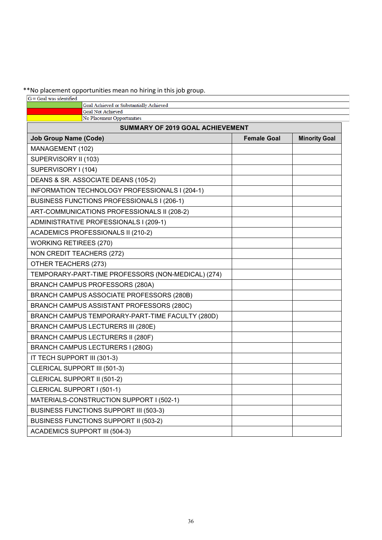\*\*No placement opportunities mean no hiring in this job group.<br>  $G =$  Goal was identified

| o = Goal was identified                                             |                    |                      |
|---------------------------------------------------------------------|--------------------|----------------------|
| Goal Achieved or Substantially Achieved<br><b>Goal Not Achieved</b> |                    |                      |
| No Placement Opportunities                                          |                    |                      |
| <b>SUMMARY OF 2019 GOAL ACHIEVEMENT</b>                             |                    |                      |
| <b>Job Group Name (Code)</b>                                        | <b>Female Goal</b> | <b>Minority Goal</b> |
| MANAGEMENT (102)                                                    |                    |                      |
| SUPERVISORY II (103)                                                |                    |                      |
| SUPERVISORY I (104)                                                 |                    |                      |
| DEANS & SR. ASSOCIATE DEANS (105-2)                                 |                    |                      |
| INFORMATION TECHNOLOGY PROFESSIONALS I (204-1)                      |                    |                      |
| BUSINESS FUNCTIONS PROFESSIONALS I (206-1)                          |                    |                      |
| ART-COMMUNICATIONS PROFESSIONALS II (208-2)                         |                    |                      |
| ADMINISTRATIVE PROFESSIONALS I (209-1)                              |                    |                      |
| <b>ACADEMICS PROFESSIONALS II (210-2)</b>                           |                    |                      |
| <b>WORKING RETIREES (270)</b>                                       |                    |                      |
| NON CREDIT TEACHERS (272)                                           |                    |                      |
| OTHER TEACHERS (273)                                                |                    |                      |
| TEMPORARY-PART-TIME PROFESSORS (NON-MEDICAL) (274)                  |                    |                      |
| <b>BRANCH CAMPUS PROFESSORS (280A)</b>                              |                    |                      |
| BRANCH CAMPUS ASSOCIATE PROFESSORS (280B)                           |                    |                      |
| BRANCH CAMPUS ASSISTANT PROFESSORS (280C)                           |                    |                      |
| BRANCH CAMPUS TEMPORARY-PART-TIME FACULTY (280D)                    |                    |                      |
| <b>BRANCH CAMPUS LECTURERS III (280E)</b>                           |                    |                      |
| <b>BRANCH CAMPUS LECTURERS II (280F)</b>                            |                    |                      |
| BRANCH CAMPUS LECTURERS I (280G)                                    |                    |                      |
| IT TECH SUPPORT III (301-3)                                         |                    |                      |
| CLERICAL SUPPORT III (501-3)                                        |                    |                      |
| CLERICAL SUPPORT II (501-2)                                         |                    |                      |
| CLERICAL SUPPORT I (501-1)                                          |                    |                      |
| MATERIALS-CONSTRUCTION SUPPORT I (502-1)                            |                    |                      |
| <b>BUSINESS FUNCTIONS SUPPORT III (503-3)</b>                       |                    |                      |
| BUSINESS FUNCTIONS SUPPORT II (503-2)                               |                    |                      |
| <b>ACADEMICS SUPPORT III (504-3)</b>                                |                    |                      |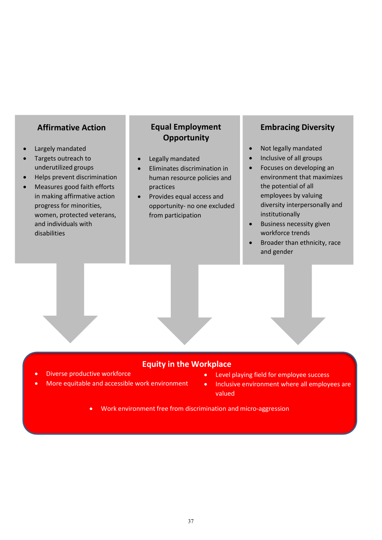### **Affirmative Action**

- Largely mandated
- Targets outreach to underutilized groups
- Helps prevent discrimination
- Measures good faith efforts in making affirmative action progress for minorities, women, protected veterans, and individuals with disabilities

# **Equal Employment Opportunity**

- Legally mandated
- Eliminates discrimination in human resource policies and practices
- Provides equal access and opportunity- no one excluded from participation

# **Embracing Diversity**

- Not legally mandated
- Inclusive of all groups
- Focuses on developing an environment that maximizes the potential of all employees by valuing diversity interpersonally and institutionally
- Business necessity given workforce trends
- Broader than ethnicity, race and gender

### **Equity in the Workplace**

- Diverse productive workforce
- More equitable and accessible work environment
- Level playing field for employee success
- Inclusive environment where all employees are valued
- Work environment free from discrimination and micro-aggression